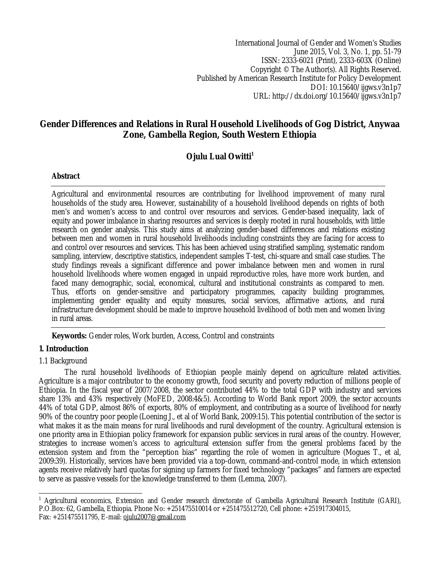International Journal of Gender and Women's Studies June 2015, Vol. 3, No. 1, pp. 51-79 ISSN: 2333-6021 (Print), 2333-603X (Online) Copyright © The Author(s). All Rights Reserved. Published by American Research Institute for Policy Development DOI: 10.15640/ijgws.v3n1p7 URL: http://dx.doi.org/10.15640/ijgws.v3n1p7

# **Gender Differences and Relations in Rural Household Livelihoods of Gog District, Anywaa Zone, Gambella Region, South Western Ethiopia**

# **Ojulu Lual Owitti<sup>1</sup>**

### **Abstract**

Agricultural and environmental resources are contributing for livelihood improvement of many rural households of the study area. However, sustainability of a household livelihood depends on rights of both men's and women's access to and control over resources and services. Gender-based inequality, lack of equity and power imbalance in sharing resources and services is deeply rooted in rural households, with little research on gender analysis. This study aims at analyzing gender-based differences and relations existing between men and women in rural household livelihoods including constraints they are facing for access to and control over resources and services. This has been achieved using stratified sampling, systematic random sampling, interview, descriptive statistics, independent samples T-test, chi-square and small case studies. The study findings reveals a significant difference and power imbalance between men and women in rural household livelihoods where women engaged in unpaid reproductive roles, have more work burden, and faced many demographic, social, economical, cultural and institutional constraints as compared to men. Thus, efforts on gender-sensitive and participatory programmes, capacity building programmes, implementing gender equality and equity measures, social services, affirmative actions, and rural infrastructure development should be made to improve household livelihood of both men and women living in rural areas.

**Keywords:** Gender roles, Work burden, Access, Control and constraints

# **1. Introduction**

### 1.1 Background

The rural household livelihoods of Ethiopian people mainly depend on agriculture related activities. Agriculture is a major contributor to the economy growth, food security and poverty reduction of millions people of Ethiopia. In the fiscal year of 2007/2008, the sector contributed 44% to the total GDP with industry and services share 13% and 43% respectively (MoFED, 2008:4&5). According to World Bank report 2009, the sector accounts 44% of total GDP, almost 86% of exports, 80% of employment, and contributing as a source of livelihood for nearly 90% of the country poor people (Loening J., et al of World Bank, 2009:15). This potential contribution of the sector is what makes it as the main means for rural livelihoods and rural development of the country. Agricultural extension is one priority area in Ethiopian policy framework for expansion public services in rural areas of the country. However, strategies to increase women's access to agricultural extension suffer from the general problems faced by the extension system and from the "perception bias" regarding the role of women in agriculture (Mogues T., et al, 2009:39). Historically, services have been provided via a top-down, command-and-control mode, in which extension agents receive relatively hard quotas for signing up farmers for fixed technology "packages" and farmers are expected to serve as passive vessels for the knowledge transferred to them (Lemma, 2007).

 $\overline{\phantom{a}}$ <sup>1</sup> Agricultural economics, Extension and Gender research directorate of Gambella Agricultural Research Institute (GARI), P.O.Box: 62, Gambella, Ethiopia. Phone No: +251475510014 or +251475512720, Cell phone: +251917304015, Fax: +251475511795, E-mail: ojulu2007@gmail.com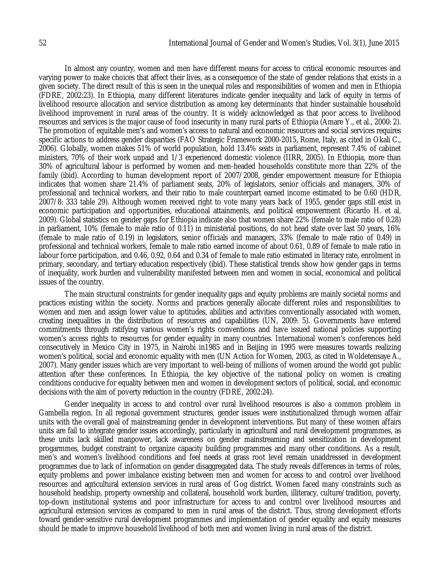In almost any country, women and men have different means for access to critical economic resources and varying power to make choices that affect their lives, as a consequence of the state of gender relations that exists in a given society. The direct result of this is seen in the unequal roles and responsibilities of women and men in Ethiopia (FDRE, 2002:23). In Ethiopia, many different literatures indicate gender inequality and lack of equity in terms of livelihood resource allocation and service distribution as among key determinants that hinder sustainable household livelihood improvement in rural areas of the country. It is widely acknowledged as that poor access to livelihood resources and services is the major cause of food insecurity in many rural parts of Ethiopia (Amare Y., et al., 2000: 2). The promotion of equitable men's and women's access to natural and economic resources and social services requires specific actions to address gender disparities (FAO Strategic Framework 2000-2015, Rome, Italy, as cited in Okali C., 2006). Globally, women makes 51% of world population, hold 13.4% seats in parliament, represent 7.4% of cabinet ministers, 70% of their work unpaid and 1/3 experienced domestic violence (IIRR, 2005). In Ethiopia, more than 30% of agricultural labour is performed by women and men-headed households constitute more than 22% of the family (ibid). According to human development report of 2007/2008, gender empowerment measure for Ethiopia indicates that women share 21.4% of parliament seats, 20% of legislators, senior officials and managers, 30% of professional and technical workers, and their ratio to male counterpart earned income estimated to be 0.60 (HDR, 2007/8: 333 table 29). Although women received right to vote many years back of 1955, gender gaps still exist in economic participation and opportunities, educational attainments, and political empowerment (Ricardo H. et al, 2009). Global statistics on gender gaps for Ethiopia indicate also that women share 22% (female to male ratio of 0.28) in parliament, 10% (female to male ratio of 0.11) in ministerial positions, do not head state over last 50 years, 16% (female to male ratio of 0.19) in legislators, senior officials and managers, 33% (female to male ratio of 0.49) in professional and technical workers, female to male ratio earned income of about 0.61, 0.89 of female to male ratio in labour force participation, and 0.46, 0.92, 0.64 and 0.34 of female to male ratio estimated in literacy rate, enrolment in primary, secondary, and tertiary education respectively (ibid). These statistical trends show how gender gaps in terms of inequality, work burden and vulnerability manifested between men and women in social, economical and political issues of the country.

The main structural constraints for gender inequality gaps and equity problems are mainly societal norms and practices existing within the society. Norms and practices generally allocate different roles and responsibilities to women and men and assign lower value to aptitudes, abilities and activities conventionally associated with women, creating inequalities in the distribution of resources and capabilities (UN, 2009: 5). Governments have entered commitments through ratifying various women's rights conventions and have issued national policies supporting women's access rights to resources for gender equality in many countries. International women's conferences held consecutively in Mexico City in 1975, in Nairobi in1985 and in Beijing in 1995 were measures towards realizing women's political, social and economic equality with men (UN Action for Women, 2003, as cited in Woldetensaye A., 2007). Many gender issues which are very important to well-being of millions of women around the world got public attention after these conferences. In Ethiopia, the key objective of the national policy on women is creating conditions conducive for equality between men and women in development sectors of political, social, and economic decisions with the aim of poverty reduction in the country (FDRE, 2002:24).

Gender inequality in access to and control over rural livelihood resources is also a common problem in Gambella region. In all regional government structures, gender issues were institutionalized through women affair units with the overall goal of mainstreaming gender in development interventions. But many of these women affairs units are fail to integrate gender issues accordingly, particularly in agricultural and rural development programmes, as these units lack skilled manpower, lack awareness on gender mainstreaming and sensitization in development progarmmes, budget constraint to organize capacity building programmes and many other conditions. As a result, men's and women's livelihood conditions and feel needs at grass root level remain unaddressed in development programmes due to lack of information on gender disaggregated data. The study reveals differences in terms of roles, equity problems and power imbalance existing between men and women for access to and control over livelihood resources and agricultural extension services in rural areas of Gog district. Women faced many constraints such as household headship, property ownership and collateral, household work burden, illiteracy, culture/tradition, poverty, top-down institutional systems and poor infrastructure for access to and control over livelihood resources and agricultural extension services as compared to men in rural areas of the district. Thus, strong development efforts toward gender-sensitive rural development programmes and implementation of gender equality and equity measures should be made to improve household livelihood of both men and women living in rural areas of the district.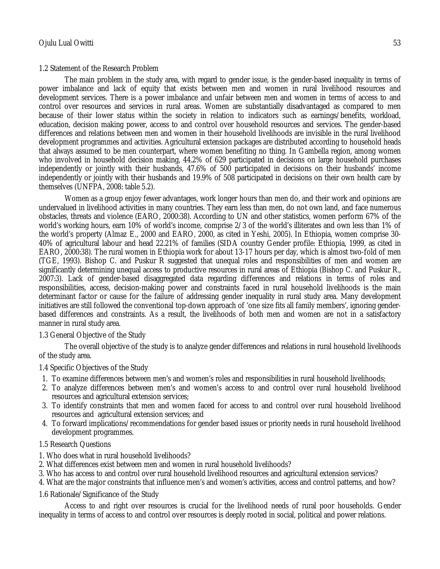# 1.2 Statement of the Research Problem

The main problem in the study area, with regard to gender issue, is the gender-based inequality in terms of power imbalance and lack of equity that exists between men and women in rural livelihood resources and development services. There is a power imbalance and unfair between men and women in terms of access to and control over resources and services in rural areas. Women are substantially disadvantaged as compared to men because of their lower status within the society in relation to indicators such as earnings/benefits, workload, education, decision making power, access to and control over household resources and services. The gender-based differences and relations between men and women in their household livelihoods are invisible in the rural livelihood development programmes and activities. Agricultural extension packages are distributed according to household heads that always assumed to be men counterpart, where women benefiting no thing. In Gambella region, among women who involved in household decision making, 44.2% of 629 participated in decisions on large household purchases independently or jointly with their husbands, 47.6% of 500 participated in decisions on their husbands' income independently or jointly with their husbands and 19.9% of 508 participated in decisions on their own health care by themselves (UNFPA, 2008: table 5.2).

Women as a group enjoy fewer advantages, work longer hours than men do, and their work and opinions are undervalued in livelihood activities in many countries. They earn less than men, do not own land, and face numerous obstacles, threats and violence (EARO, 2000:38). According to UN and other statistics, women perform 67% of the world's working hours, earn 10% of world's income, comprise 2/3 of the world's illiterates and own less than 1% of the world's property (Almaz E., 2000 and EARO, 2000, as cited in Yeshi, 2005). In Ethiopia, women comprise 30- 40% of agricultural labour and head 22.21% of families (SIDA country Gender profile: Ethiopia, 1999, as cited in EARO, 2000:38). The rural women in Ethiopia work for about 13-17 hours per day, which is almost two-fold of men (TGE, 1993). Bishop C. and Puskur R suggested that unequal roles and responsibilities of men and women are significantly determining unequal access to productive resources in rural areas of Ethiopia (Bishop C. and Puskur R., 2007:3). Lack of gender-based disaggregated data regarding differences and relations in terms of roles and responsibilities, access, decision-making power and constraints faced in rural household livelihoods is the main determinant factor or cause for the failure of addressing gender inequality in rural study area. Many development initiatives are still followed the conventional top-down approach of 'one size fits all family members', ignoring genderbased differences and constraints. As a result, the livelihoods of both men and women are not in a satisfactory manner in rural study area.

# 1.3 General Objective of the Study

The overall objective of the study is to analyze gender differences and relations in rural household livelihoods of the study area.

# 1.4 Specific Objectives of the Study

- 1. To examine differences between men's and women's roles and responsibilities in rural household livelihoods;
- 2. To analyze differences between men's and women's access to and control over rural household livelihood resources and agricultural extension services;
- 3. To identify constraints that men and women faced for access to and control over rural household livelihood resources and agricultural extension services; and
- 4. To forward implications/recommendations for gender based issues or priority needs in rural household livelihood development programmes.

# 1.5 Research Questions

- 1. Who does what in rural household livelihoods?
- 2. What differences exist between men and women in rural household livelihoods?
- 3. Who has access to and control over rural household livelihood resources and agricultural extension services?
- 4. What are the major constraints that influence men's and women's activities, access and control patterns, and how?

# 1.6 Rationale/Significance of the Study

Access to and right over resources is crucial for the livelihood needs of rural poor households. Gender inequality in terms of access to and control over resources is deeply rooted in social, political and power relations.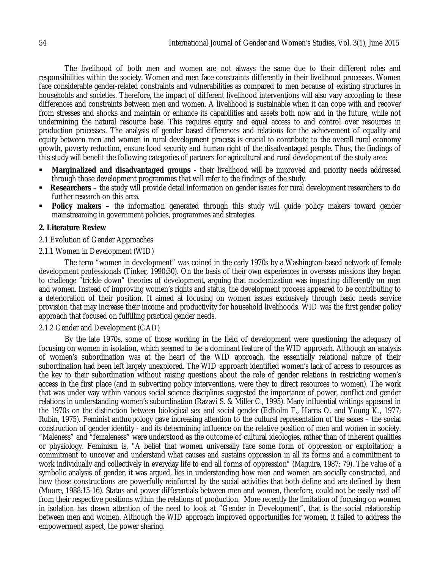The livelihood of both men and women are not always the same due to their different roles and responsibilities within the society. Women and men face constraints differently in their livelihood processes. Women face considerable gender-related constraints and vulnerabilities as compared to men because of existing structures in households and societies. Therefore, the impact of different livelihood interventions will also vary according to these differences and constraints between men and women. A livelihood is sustainable when it can cope with and recover from stresses and shocks and maintain or enhance its capabilities and assets both now and in the future, while not undermining the natural resource base. This requires equity and equal access to and control over resources in production processes. The analysis of gender based differences and relations for the achievement of equality and equity between men and women in rural development process is crucial to contribute to the overall rural economy growth, poverty reduction, ensure food security and human right of the disadvantaged people. Thus, the findings of this study will benefit the following categories of partners for agricultural and rural development of the study area:

- **Marginalized and disadvantaged groups** their livelihood will be improved and priority needs addressed through those development programmes that will refer to the findings of the study.
- **Researchers** the study will provide detail information on gender issues for rural development researchers to do further research on this area.
- **Policy makers** the information generated through this study will guide policy makers toward gender mainstreaming in government policies, programmes and strategies.

### **2. Literature Review**

- 2.1 Evolution of Gender Approaches
- 2.1.1 Women in Development (WID)

The term "women in development" was coined in the early 1970s by a Washington-based network of female development professionals (Tinker, 1990:30). On the basis of their own experiences in overseas missions they began to challenge "trickle down" theories of development, arguing that modernization was impacting differently on men and women. Instead of improving women's rights and status, the development process appeared to be contributing to a deterioration of their position. It aimed at focusing on women issues exclusively through basic needs service provision that may increase their income and productivity for household livelihoods. WID was the first gender policy approach that focused on fulfilling practical gender needs.

### 2.1.2 Gender and Development (GAD)

By the late 1970s, some of those working in the field of development were questioning the adequacy of focusing on women in isolation, which seemed to be a dominant feature of the WID approach. Although an analysis of women's subordination was at the heart of the WID approach, the essentially relational nature of their subordination had been left largely unexplored. The WID approach identified women's lack of access to resources as the key to their subordination without raising questions about the role of gender relations in restricting women's access in the first place (and in subverting policy interventions, were they to direct resources to women). The work that was under way within various social science disciplines suggested the importance of power, conflict and gender relations in understanding women's subordination (Razavi S. & Miller C., 1995). Many influential writings appeared in the 1970s on the distinction between biological sex and social gender (Edholm F., Harris O. and Young K., 1977; Rubin, 1975). Feminist anthropology gave increasing attention to the cultural representation of the sexes – the social construction of gender identity - and its determining influence on the relative position of men and women in society. "Maleness" and "femaleness" were understood as the outcome of cultural ideologies, rather than of inherent qualities or physiology. Feminism is, "A belief that women universally face some form of oppression or exploitation; a commitment to uncover and understand what causes and sustains oppression in all its forms and a commitment to work individually and collectively in everyday life to end all forms of oppression" (Maguire, 1987: 79). The value of a symbolic analysis of gender, it was argued, lies in understanding how men and women are socially constructed, and how those constructions are powerfully reinforced by the social activities that both define and are defined by them (Moore, 1988:15-16). Status and power differentials between men and women, therefore, could not be easily read off from their respective positions within the relations of production. More recently the limitation of focusing on women in isolation has drawn attention of the need to look at "Gender in Development", that is the social relationship between men and women. Although the WID approach improved opportunities for women, it failed to address the empowerment aspect, the power sharing.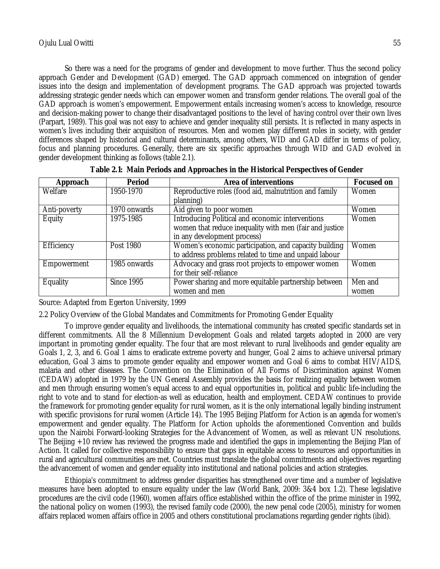So there was a need for the programs of gender and development to move further. Thus the second policy approach Gender and Development (GAD) emerged. The GAD approach commenced on integration of gender issues into the design and implementation of development programs. The GAD approach was projected towards addressing strategic gender needs which can empower women and transform gender relations. The overall goal of the GAD approach is women's empowerment. Empowerment entails increasing women's access to knowledge, resource and decision-making power to change their disadvantaged positions to the level of having control over their own lives (Parpart, 1989). This goal was not easy to achieve and gender inequality still persists. It is reflected in many aspects in women's lives including their acquisition of resources. Men and women play different roles in society, with gender differences shaped by historical and cultural determinants, among others, WID and GAD differ in terms of policy, focus and planning procedures. Generally, there are six specific approaches through WID and GAD evolved in gender development thinking as follows (table 2.1).

| Approach     | <b>Period</b>     | <b>Area of interventions</b>                            | <b>Focused on</b> |
|--------------|-------------------|---------------------------------------------------------|-------------------|
| Welfare      | 1950-1970         | Reproductive roles (food aid, malnutrition and family   | Women             |
|              |                   | planning)                                               |                   |
| Anti-poverty | 1970 onwards      | Aid given to poor women                                 | Women             |
| Equity       | 1975-1985         | Introducing Political and economic interventions        | Women             |
|              |                   | women that reduce inequality with men (fair and justice |                   |
|              |                   | in any development process)                             |                   |
| Efficiency   | Post 1980         | Women's economic participation, and capacity building   | Women             |
|              |                   | to address problems related to time and unpaid labour   |                   |
| Empowerment  | 1985 onwards      | Advocacy and grass root projects to empower women       | Women             |
|              |                   | for their self-reliance                                 |                   |
| Equality     | <b>Since 1995</b> | Power sharing and more equitable partnership between    | Men and           |
|              |                   | women and men                                           | women             |

| Table 2.1: Main Periods and Approaches in the Historical Perspectives of Gender |  |  |
|---------------------------------------------------------------------------------|--|--|
|---------------------------------------------------------------------------------|--|--|

Source: Adapted from Egerton University, 1999

2.2 Policy Overview of the Global Mandates and Commitments for Promoting Gender Equality

To improve gender equality and livelihoods, the international community has created specific standards set in different commitments. All the 8 Millennium Development Goals and related targets adopted in 2000 are very important in promoting gender equality. The four that are most relevant to rural livelihoods and gender equality are Goals 1, 2, 3, and 6. Goal 1 aims to eradicate extreme poverty and hunger, Goal 2 aims to achieve universal primary education, Goal 3 aims to promote gender equality and empower women and Goal 6 aims to combat HIV/AIDS, malaria and other diseases. The Convention on the Elimination of All Forms of Discrimination against Women (CEDAW) adopted in 1979 by the UN General Assembly provides the basis for realizing equality between women and men through ensuring women's equal access to and equal opportunities in, political and public life-including the right to vote and to stand for election-as well as education, health and employment. CEDAW continues to provide the framework for promoting gender equality for rural women, as it is the only international legally binding instrument with specific provisions for rural women (Article 14). The 1995 Beijing Platform for Action is an agenda for women's empowerment and gender equality. The Platform for Action upholds the aforementioned Convention and builds upon the Nairobi Forward-looking Strategies for the Advancement of Women, as well as relevant UN resolutions. The Beijing +10 review has reviewed the progress made and identified the gaps in implementing the Beijing Plan of Action. It called for collective responsibility to ensure that gaps in equitable access to resources and opportunities in rural and agricultural communities are met. Countries must translate the global commitments and objectives regarding the advancement of women and gender equality into institutional and national policies and action strategies.

Ethiopia's commitment to address gender disparities has strengthened over time and a number of legislative measures have been adopted to ensure equality under the law (World Bank, 2009: 3&4 box 1.2). These legislative procedures are the civil code (1960), women affairs office established within the office of the prime minister in 1992, the national policy on women (1993), the revised family code (2000), the new penal code (2005), ministry for women affairs replaced women affairs office in 2005 and others constitutional proclamations regarding gender rights (ibid).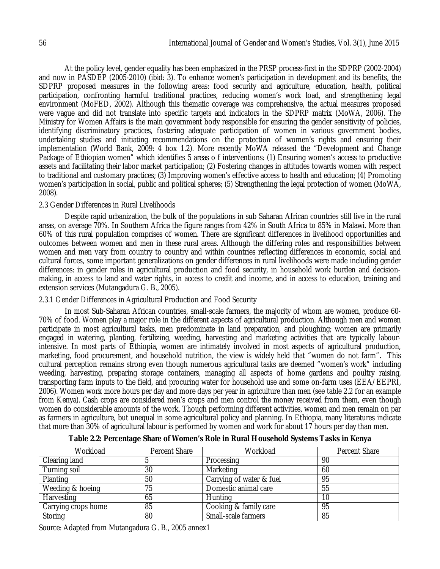At the policy level, gender equality has been emphasized in the PRSP process-first in the SDPRP (2002-2004) and now in PASDEP (2005-2010) (ibid: 3). To enhance women's participation in development and its benefits, the SDPRP proposed measures in the following areas: food security and agriculture, education, health, political participation, confronting harmful traditional practices, reducing women's work load, and strengthening legal environment (MoFED, 2002). Although this thematic coverage was comprehensive, the actual measures proposed were vague and did not translate into specific targets and indicators in the SDPRP matrix (MoWA, 2006). The Ministry for Women Affairs is the main government body responsible for ensuring the gender sensitivity of policies, identifying discriminatory practices, fostering adequate participation of women in various government bodies, undertaking studies and initiating recommendations on the protection of women's rights and ensuring their implementation (World Bank, 2009: 4 box 1.2). More recently MoWA released the "Development and Change Package of Ethiopian women" which identifies 5 areas o f interventions: (1) Ensuring women's access to productive assets and facilitating their labor market participation; (2) Fostering changes in attitudes towards women with respect to traditional and customary practices; (3) Improving women's effective access to health and education; (4) Promoting women's participation in social, public and political spheres; (5) Strengthening the legal protection of women (MoWA, 2008).

### 2.3 Gender Differences in Rural Livelihoods

Despite rapid urbanization, the bulk of the populations in sub Saharan African countries still live in the rural areas, on average 70%. In Southern Africa the figure ranges from 42% in South Africa to 85% in Malawi. More than 60% of this rural population comprises of women. There are significant differences in livelihood opportunities and outcomes between women and men in these rural areas. Although the differing roles and responsibilities between women and men vary from country to country and within countries reflecting differences in economic, social and cultural forces, some important generalizations on gender differences in rural livelihoods were made including gender differences: in gender roles in agricultural production and food security, in household work burden and decisionmaking, in access to land and water rights, in access to credit and income, and in access to education, training and extension services (Mutangadura G. B., 2005).

### 2.3.1 Gender Differences in Agricultural Production and Food Security

In most Sub-Saharan African countries, small-scale farmers, the majority of whom are women, produce 60- 70% of food. Women play a major role in the different aspects of agricultural production. Although men and women participate in most agricultural tasks, men predominate in land preparation, and ploughing; women are primarily engaged in watering, planting, fertilizing, weeding, harvesting and marketing activities that are typically labourintensive. In most parts of Ethiopia, women are intimately involved in most aspects of agricultural production, marketing, food procurement, and household nutrition, the view is widely held that "women do not farm". This cultural perception remains strong even though numerous agricultural tasks are deemed "women's work" including weeding, harvesting, preparing storage containers, managing all aspects of home gardens and poultry raising, transporting farm inputs to the field, and procuring water for household use and some on-farm uses (EEA/EEPRI, 2006). Women work more hours per day and more days per year in agriculture than men (see table 2.2 for an example from Kenya). Cash crops are considered men's crops and men control the money received from them, even though women do considerable amounts of the work. Though performing different activities, women and men remain on par as farmers in agriculture, but unequal in some agricultural policy and planning. In Ethiopia, many literatures indicate that more than 30% of agricultural labour is performed by women and work for about 17 hours per day than men.

| Workload            | Percent Share | Workload                 | Percent Share |
|---------------------|---------------|--------------------------|---------------|
| Clearing land       |               | Processing               | 90            |
| Turning soil        | 30            | Marketing                | 60            |
| Planting            | 50            | Carrying of water & fuel | 95            |
| Weeding & hoeing    | 75            | Domestic animal care     | 55            |
| Harvesting          | 65            | <b>Hunting</b>           | 10            |
| Carrying crops home | 85            | Cooking & family care    | 95            |
| Storing             | 80            | Small-scale farmers      | 85            |

**Table 2.2: Percentage Share of Women's Role in Rural Household Systems Tasks in Kenya**

Source: Adapted from Mutangadura G. B., 2005 annex1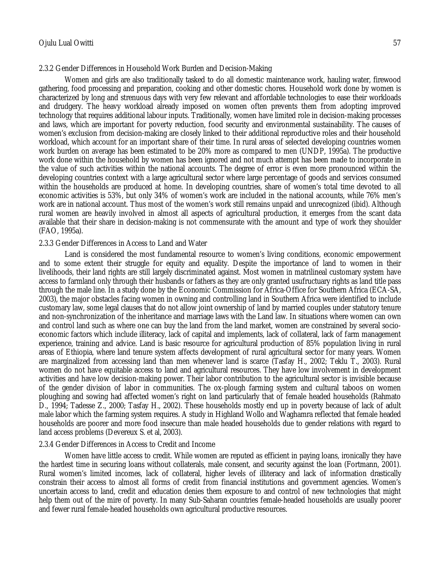#### 2.3.2 Gender Differences in Household Work Burden and Decision-Making

Women and girls are also traditionally tasked to do all domestic maintenance work, hauling water, firewood gathering, food processing and preparation, cooking and other domestic chores. Household work done by women is characterized by long and strenuous days with very few relevant and affordable technologies to ease their workloads and drudgery. The heavy workload already imposed on women often prevents them from adopting improved technology that requires additional labour inputs. Traditionally, women have limited role in decision-making processes and laws, which are important for poverty reduction, food security and environmental sustainability. The causes of women's exclusion from decision-making are closely linked to their additional reproductive roles and their household workload, which account for an important share of their time. In rural areas of selected developing countries women work burden on average has been estimated to be 20% more as compared to men (UNDP, 1995a). The productive work done within the household by women has been ignored and not much attempt has been made to incorporate in the value of such activities within the national accounts. The degree of error is even more pronounced within the developing countries context with a large agricultural sector where large percentage of goods and services consumed within the households are produced at home. In developing countries, share of women's total time devoted to all economic activities is 53%, but only 34% of women's work are included in the national accounts, while 76% men's work are in national account. Thus most of the women's work still remains unpaid and unrecognized (ibid). Although rural women are heavily involved in almost all aspects of agricultural production, it emerges from the scant data available that their share in decision-making is not commensurate with the amount and type of work they shoulder (FAO, 1995a).

#### 2.3.3 Gender Differences in Access to Land and Water

Land is considered the most fundamental resource to women's living conditions, economic empowerment and to some extent their struggle for equity and equality. Despite the importance of land to women in their livelihoods, their land rights are still largely discriminated against. Most women in matrilineal customary system have access to farmland only through their husbands or fathers as they are only granted usufructuary rights as land title pass through the male line. In a study done by the Economic Commission for Africa-Office for Southern Africa (ECA-SA, 2003), the major obstacles facing women in owning and controlling land in Southern Africa were identified to include customary law, some legal clauses that do not allow joint ownership of land by married couples under statutory tenure and non-synchronization of the inheritance and marriage laws with the Land law. In situations where women can own and control land such as where one can buy the land from the land market, women are constrained by several socioeconomic factors which include illiteracy, lack of capital and implements, lack of collateral, lack of farm management experience, training and advice. Land is basic resource for agricultural production of 85% population living in rural areas of Ethiopia, where land tenure system affects development of rural agricultural sector for many years. Women are marginalized from accessing land than men whenever land is scarce (Tasfay H., 2002; Teklu T., 2003). Rural women do not have equitable access to land and agricultural resources. They have low involvement in development activities and have low decision-making power. Their labor contribution to the agricultural sector is invisible because of the gender division of labor in communities. The ox-plough farming system and cultural taboos on women ploughing and sowing had affected women's right on land particularly that of female headed households (Rahmato D., 1994; Tadesse Z., 2000; Tasfay H., 2002). These households mostly end up in poverty because of lack of adult male labor which the farming system requires. A study in Highland Wollo and Waghamra reflected that female headed households are poorer and more food insecure than male headed households due to gender relations with regard to land access problems (Devereux S. et al, 2003).

#### 2.3.4 Gender Differences in Access to Credit and Income

Women have little access to credit. While women are reputed as efficient in paying loans, ironically they have the hardest time in securing loans without collaterals, male consent, and security against the loan (Fortmann, 2001). Rural women's limited incomes, lack of collateral, higher levels of illiteracy and lack of information drastically constrain their access to almost all forms of credit from financial institutions and government agencies. Women's uncertain access to land, credit and education denies them exposure to and control of new technologies that might help them out of the mire of poverty. In many Sub-Saharan countries female-headed households are usually poorer and fewer rural female-headed households own agricultural productive resources.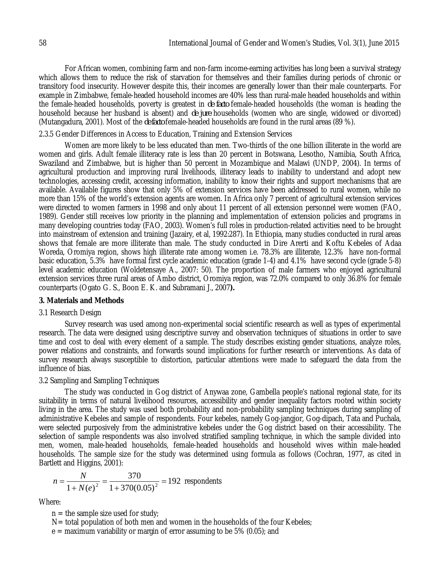For African women, combining farm and non-farm income-earning activities has long been a survival strategy which allows them to reduce the risk of starvation for themselves and their families during periods of chronic or transitory food insecurity. However despite this, their incomes are generally lower than their male counterparts. For example in Zimbabwe, female-headed household incomes are 40% less than rural-male headed households and within the female-headed households, poverty is greatest in *de facto* female-headed households (the woman is heading the household because her husband is absent) and *de jure* households (women who are single, widowed or divorced) (Mutangadura, 2001). Most of the *de facto* female-headed households are found in the rural areas (89 %).

#### 2.3.5 Gender Differences in Access to Education, Training and Extension Services

Women are more likely to be less educated than men. Two-thirds of the one billion illiterate in the world are women and girls. Adult female illiteracy rate is less than 20 percent in Botswana, Lesotho, Namibia, South Africa, Swaziland and Zimbabwe, but is higher than 50 percent in Mozambique and Malawi (UNDP, 2004). In terms of agricultural production and improving rural livelihoods, illiteracy leads to inability to understand and adopt new technologies, accessing credit, accessing information, inability to know their rights and support mechanisms that are available. Available figures show that only 5% of extension services have been addressed to rural women, while no more than 15% of the world's extension agents are women. In Africa only 7 percent of agricultural extension services were directed to women farmers in 1998 and only about 11 percent of all extension personnel were women (FAO, 1989). Gender still receives low priority in the planning and implementation of extension policies and programs in many developing countries today (FAO, 2003). Women's full roles in production-related activities need to be brought into mainstream of extension and training (Jazairy, et al, 1992:287). In Ethiopia, many studies conducted in rural areas shows that female are more illiterate than male. The study conducted in Dire Arerti and Koftu Kebeles of Adaa Woreda, Oromiya region, shows high illiterate rate among women i.e. 78.3% are illiterate, 12.3% have non-formal basic education, 5.3% have formal first cycle academic education (grade 1-4) and 4.1% have second cycle (grade 5-8) level academic education (Woldetensaye A., 2007: 50). The proportion of male farmers who enjoyed agricultural extension services three rural areas of Ambo district, Oromiya region, was 72.0% compared to only 36.8% for female counterparts (Ogato G. S., Boon E. K. and Subramani J., 2007**).** 

#### **3. Materials and Methods**

#### 3.1 Research Design

Survey research was used among non-experimental social scientific research as well as types of experimental research. The data were designed using descriptive survey and observation techniques of situations in order to save time and cost to deal with every element of a sample. The study describes existing gender situations, analyze roles, power relations and constraints, and forwards sound implications for further research or interventions. As data of survey research always susceptible to distortion, particular attentions were made to safeguard the data from the influence of bias.

### 3.2 Sampling and Sampling Techniques

The study was conducted in Gog district of Anywaa zone, Gambella people's national regional state, for its suitability in terms of natural livelihood resources, accessibility and gender inequality factors rooted within society living in the area. The study was used both probability and non-probability sampling techniques during sampling of administrative Kebeles and sample of respondents. Four kebeles, namely Gog-jangjor, Gog-dipach, Tata and Puchala, were selected purposively from the administrative kebeles under the Gog district based on their accessibility. The selection of sample respondents was also involved stratified sampling technique, in which the sample divided into men, women, male-headed households, female-headed households and household wives within male-headed households. The sample size for the study was determined using formula as follows (Cochran, 1977, as cited in Bartlett and Higgins, 2001):

$$
n = \frac{N}{1 + N(e)^2} = \frac{370}{1 + 370(0.05)^2} = 192
$$
respondents

Where:

 $n =$  the sample size used for study;

 $N=$  total population of both men and women in the households of the four Kebeles;

 $e =$  maximum variability or margin of error assuming to be 5% (0.05); and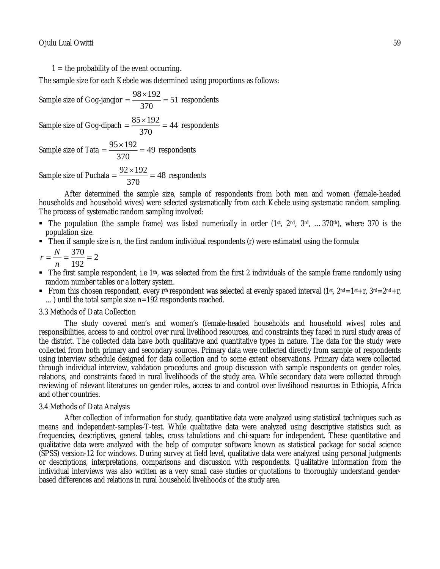$1 =$  the probability of the event occurring.

The sample size for each Kebele was determined using proportions as follows:

Sample size of Gog-jangjor 
$$
=\frac{98 \times 192}{370} = 51
$$
 respondents

Sample size of Gog-dipach  $=\frac{63\times132}{270}$  = 44 370  $=\frac{85\times192}{370}$  = 44 respondents

Sample size of Tata  $=\frac{337.132}{270}$  = 49 370  $=\frac{95\times192}{370}$  = 49 respondents

Sample size of Puchala  $=\frac{52 \times 132}{370}$  = 48 370  $=\frac{92\times192}{370}$  = 48 respondents

After determined the sample size, sample of respondents from both men and women (female-headed households and household wives) were selected systematically from each Kebele using systematic random sampling. The process of systematic random sampling involved:

- The population (the sample frame) was listed numerically in order  $(1st, 2nd, 3rd, ...370th)$ , where 370 is the population size.
- Then if sample size is n, the first random individual respondents (r) were estimated using the formula:

$$
r = \frac{N}{n} = \frac{370}{192} = 2
$$

- The first sample respondent, i.e  $1<sup>th</sup>$ , was selected from the first 2 individuals of the sample frame randomly using random number tables or a lottery system.
- From this chosen respondent, every r<sup>th</sup> respondent was selected at evenly spaced interval (1st,  $2^{nd} = 1$ st+r,  $3^{rd} = 2^{nd} + r$ , …) until the total sample size n=192 respondents reached.

### 3.3 Methods of Data Collection

The study covered men's and women's (female-headed households and household wives) roles and responsibilities, access to and control over rural livelihood resources, and constraints they faced in rural study areas of the district. The collected data have both qualitative and quantitative types in nature. The data for the study were collected from both primary and secondary sources. Primary data were collected directly from sample of respondents using interview schedule designed for data collection and to some extent observations. Primary data were collected through individual interview, validation procedures and group discussion with sample respondents on gender roles, relations, and constraints faced in rural livelihoods of the study area. While secondary data were collected through reviewing of relevant literatures on gender roles, access to and control over livelihood resources in Ethiopia, Africa and other countries.

### 3.4 Methods of Data Analysis

After collection of information for study, quantitative data were analyzed using statistical techniques such as means and independent-samples-T-test. While qualitative data were analyzed using descriptive statistics such as frequencies, descriptives, general tables, cross tabulations and chi-square for independent. These quantitative and qualitative data were analyzed with the help of computer software known as statistical package for social science (SPSS) version-12 for windows. During survey at field level, qualitative data were analyzed using personal judgments or descriptions, interpretations, comparisons and discussion with respondents. Qualitative information from the individual interviews was also written as a very small case studies or quotations to thoroughly understand genderbased differences and relations in rural household livelihoods of the study area.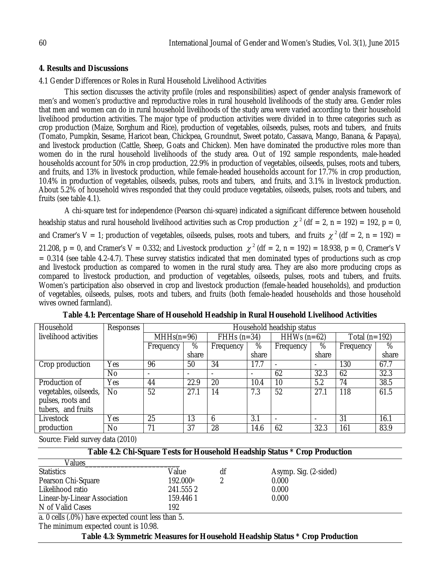### **4. Results and Discussions**

4.1 Gender Differences or Roles in Rural Household Livelihood Activities

This section discusses the activity profile (roles and responsibilities) aspect of gender analysis framework of men's and women's productive and reproductive roles in rural household livelihoods of the study area. Gender roles that men and women can do in rural household livelihoods of the study area were varied according to their household livelihood production activities. The major type of production activities were divided in to three categories such as crop production (Maize, Sorghum and Rice), production of vegetables, oilseeds, pulses, roots and tubers, and fruits (Tomato, Pumpkin, Sesame, Haricot bean, Chickpea, Groundnut, Sweet potato, Cassava, Mango, Banana, & Papaya), and livestock production (Cattle, Sheep, Goats and Chicken). Men have dominated the productive roles more than women do in the rural household livelihoods of the study area. Out of 192 sample respondents, male-headed households account for 50% in crop production, 22.9% in production of vegetables, oilseeds, pulses, roots and tubers, and fruits, and 13% in livestock production, while female-headed households account for 17.7% in crop production, 10.4% in production of vegetables, oilseeds, pulses, roots and tubers, and fruits, and 3.1% in livestock production. About 5.2% of household wives responded that they could produce vegetables, oilseeds, pulses, roots and tubers, and fruits (see table 4.1).

A chi-square test for independence (Pearson chi-square) indicated a significant difference between household headship status and rural household livelihood activities such as Crop production  $\chi^2$  (df = 2, n = 192) = 192, p = 0, and Cramer's V = 1; production of vegetables, oilseeds, pulses, roots and tubers, and fruits  $\chi^2$  (df = 2, n = 192) = 21.208,  $p = 0$ , and Cramer's V = 0.332; and Livestock production  $\chi^2$  (df = 2, n = 192) = 18.938, p = 0, Cramer's V = 0.314 (see table 4.2-4.7). These survey statistics indicated that men dominated types of productions such as crop and livestock production as compared to women in the rural study area. They are also more producing crops as compared to livestock production, and production of vegetables, oilseeds, pulses, roots and tubers, and fruits. Women's participation also observed in crop and livestock production (female-headed households), and production of vegetables, oilseeds, pulses, roots and tubers, and fruits (both female-headed households and those household wives owned farmland).

| Household             | Responses |              | Household headship status |               |                          |                          |                          |                   |       |
|-----------------------|-----------|--------------|---------------------------|---------------|--------------------------|--------------------------|--------------------------|-------------------|-------|
| livelihood activities |           | $MHHs(n=96)$ |                           | FHHs $(n=34)$ |                          | HHWs $(n=62)$            |                          | Total ( $n=192$ ) |       |
|                       |           | Frequency    | %                         | Frequency     | %                        | Frequency                | %                        | Frequency         | %     |
|                       |           |              | share                     |               | share                    |                          | share                    |                   | share |
| Crop production       | Yes       | 96           | 50                        | 34            | 17.7                     | $\overline{\phantom{a}}$ | $\overline{\phantom{a}}$ | 130               | 67.7  |
|                       | <b>No</b> |              |                           |               | $\overline{\phantom{a}}$ | 62                       | 32.3                     | 62                | 32.3  |
| Production of         | Yes       | 44           | 22.9                      | 20            | 10.4                     | 10                       | 5.2                      | 74                | 38.5  |
| vegetables, oilseeds, | No.       | 52           | 27.1                      | 14            | 7.3                      | 52                       | 27.1                     | 118               | 61.5  |
| pulses, roots and     |           |              |                           |               |                          |                          |                          |                   |       |
| tubers, and fruits    |           |              |                           |               |                          |                          |                          |                   |       |
| Livestock             | Yes       | 25           | 13                        | h             | 3.1                      | $\overline{\phantom{a}}$ | $\overline{\phantom{a}}$ | 31                | 16.1  |
| production            | No        | 71           | 37                        | 28            | 14.6                     | 62                       | 32.3                     | 161               | 83.9  |

**Table 4.1: Percentage Share of Household Headship in Rural Household Livelihood Activities**

Source: Field survey data (2010)

| Table 4.2: Chi-Square Tests for Household Headship Status * Crop Production |  |
|-----------------------------------------------------------------------------|--|
|                                                                             |  |

| Values                       |                      |    |                       |
|------------------------------|----------------------|----|-----------------------|
| <b>Statistics</b>            | Value                | df | Asymp. Sig. (2-sided) |
| Pearson Chi-Square           | 192.000 <sup>a</sup> |    | 0.000                 |
| Likelihood ratio             | 241.5552             |    | 0.000                 |
| Linear-by-Linear Association | 159.4461             |    | 0.000                 |
| N of Valid Cases             | 192                  |    |                       |

a. 0 cells (.0%) have expected count less than 5.

The minimum expected count is 10.98.

**Table 4.3: Symmetric Measures for Household Headship Status \* Crop Production**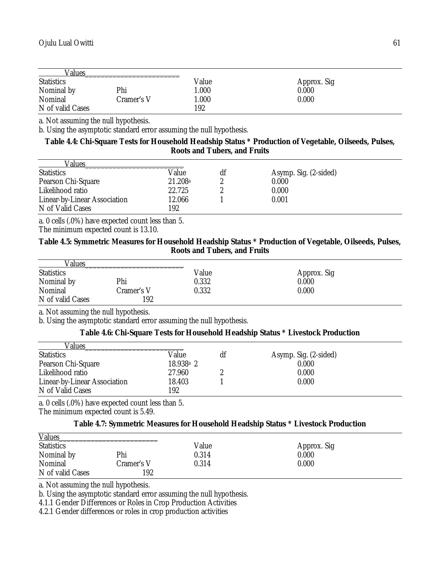| Values            |            |       |             |  |
|-------------------|------------|-------|-------------|--|
| <b>Statistics</b> |            | Value | Approx. Sig |  |
| Nominal by        | Phi        | 1.000 | 0.000       |  |
| Nominal           | Cramer's V | 1.000 | 0.000       |  |
| N of valid Cases  |            | 192   |             |  |

a. Not assuming the null hypothesis.

b. Using the asymptotic standard error assuming the null hypothesis.

# **Table 4.4: Chi-Square Tests for Household Headship Status \* Production of Vegetable, Oilseeds, Pulses, Roots and Tubers, and Fruits**

| Values                       |         |    |                       |
|------------------------------|---------|----|-----------------------|
| <b>Statistics</b>            | Value   | df | Asymp. Sig. (2-sided) |
| Pearson Chi-Square           | 21.208a |    | 0.000                 |
| Likelihood ratio             | 22.725  |    | 0.000                 |
| Linear-by-Linear Association | 12.066  |    | 0.001                 |
| N of Valid Cases             | 192     |    |                       |

a. 0 cells (.0%) have expected count less than 5.

The minimum expected count is 13.10.

### **Table 4.5: Symmetric Measures for Household Headship Status \* Production of Vegetable, Oilseeds, Pulses, Roots and Tubers, and Fruits**

| Values            |            |       |             |  |
|-------------------|------------|-------|-------------|--|
| <b>Statistics</b> |            | Value | Approx. Sig |  |
| Nominal by        | Phi        | 0.332 | 0.000       |  |
| Nominal           | Cramer's V | 0.332 | 0.000       |  |
| N of valid Cases  | 192        |       |             |  |

a. Not assuming the null hypothesis.

b. Using the asymptotic standard error assuming the null hypothesis.

# **Table 4.6: Chi-Square Tests for Household Headship Status \* Livestock Production**

| Values                       |             |    |                       |  |
|------------------------------|-------------|----|-----------------------|--|
| <b>Statistics</b>            | Value       | df | Asymp. Sig. (2-sided) |  |
| Pearson Chi-Square           | $18.938a$ 2 |    | 0.000                 |  |
| Likelihood ratio             | 27.960      |    | 0.000                 |  |
| Linear-by-Linear Association | 18.403      |    | 0.000                 |  |
| N of Valid Cases             | 192         |    |                       |  |

a. 0 cells (.0%) have expected count less than 5. The minimum expected count is 5.49.

# **Table 4.7: Symmetric Measures for Household Headship Status \* Livestock Production**

| <b>Values</b>     |            |       |             |  |
|-------------------|------------|-------|-------------|--|
| <b>Statistics</b> |            | Value | Approx. Sig |  |
| Nominal by        | Phi        | 0.314 | 0.000       |  |
| Nominal           | Cramer's V | 0.314 | 0.000       |  |
| N of valid Cases  | 192        |       |             |  |

a. Not assuming the null hypothesis.

b. Using the asymptotic standard error assuming the null hypothesis.

4.1.1 Gender Differences or Roles in Crop Production Activities

4.2.1 Gender differences or roles in crop production activities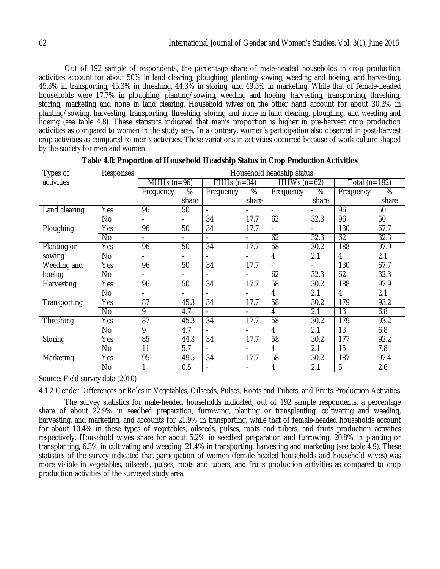Out of 192 sample of respondents, the percentage share of male-headed households in crop production activities account for about 50% in land clearing, ploughing, planting/sowing, weeding and hoeing, and harvesting, 45.3% in transporting, 45.3% in threshing, 44.3% in storing, and 49.5% in marketing. While that of female-headed households were 17.7% in ploughing, planting/sowing, weeding and hoeing, harvesting, transporting, threshing, storing, marketing and none in land clearing. Household wives on the other hand account for about 30.2% in planting/sowing, harvesting, transporting, threshing, storing and none in land clearing, ploughing, and weeding and hoeing (see table 4.8). These statistics indicated that men's proportion is higher in pre-harvest crop production activities as compared to women in the study area. In a contrary, women's participation also observed in post-harvest crop activities as compared to men's activities. These variations in activities occurred because of work culture shaped by the society for men and women.

| Types of      | Responses      |                          | Household headship status |                          |                          |                          |                          |                 |               |
|---------------|----------------|--------------------------|---------------------------|--------------------------|--------------------------|--------------------------|--------------------------|-----------------|---------------|
| activities    |                | MHHs $(n=96)$            |                           | $\overline{FH}Hs$ (n=34) |                          | HHWs $(n=62)$            |                          | Total $(n=192)$ |               |
|               |                | Frequency                | %                         | Frequency                | %                        | Frequency                | %                        | Frequency       | $\frac{8}{6}$ |
|               |                |                          | share                     |                          | share                    |                          | share                    |                 | share         |
| Land clearing | Yes            | 96                       | 50                        | $\blacksquare$           |                          | $\overline{\phantom{0}}$ |                          | 96              | 50            |
|               | <b>No</b>      | $\blacksquare$           | $\blacksquare$            | 34                       | 17.7                     | 62                       | 32.3                     | 96              | 50            |
| Ploughing     | Yes            | 96                       | 50                        | 34                       | 17.7                     |                          | $\overline{\phantom{a}}$ | 130             | 67.7          |
|               | <b>No</b>      | $\overline{\phantom{0}}$ | $\overline{\phantom{a}}$  |                          |                          | 62                       | 32.3                     | 62              | 32.3          |
| Planting or   | Yes            | 96                       | 50                        | 34                       | 17.7                     | 58                       | 30.2                     | 188             | 97.9          |
| sowing        | <b>No</b>      | $\overline{a}$           | $\blacksquare$            | $\overline{\phantom{0}}$ | $\blacksquare$           | 4                        | 2.1                      | 4               | 2.1           |
| Weeding and   | Yes            | 96                       | 50                        | 34                       | 17.7                     |                          |                          | 130             | 67.7          |
| hoeing        | $\overline{N}$ |                          |                           |                          | $\overline{a}$           | 62                       | 32.3                     | 62              | 32.3          |
| Harvesting    | Yes            | 96                       | 50                        | 34                       | 17.7                     | 58                       | 30.2                     | 188             | 97.9          |
|               | <b>No</b>      | $\overline{a}$           |                           |                          |                          | 4                        | 2.1                      | 4               | 2.1           |
| Transporting  | Yes            | $\overline{87}$          | 45.3                      | $\overline{34}$          | 17.7                     | $\overline{58}$          | 30.2                     | 179             | 93.2          |
|               | <b>No</b>      | 9                        | 4.7                       | $\overline{a}$           |                          | 4                        | 2.1                      | 13              | 6.8           |
| Threshing     | Yes            | 87                       | 45.3                      | 34                       | 17.7                     | 58                       | 30.2                     | 179             | 93.2          |
|               | <b>No</b>      | 9                        | 4.7                       | $\overline{\phantom{a}}$ | $\overline{\phantom{0}}$ | 4                        | 2.1                      | $\overline{13}$ | 6.8           |
| Storing       | Yes            | 85                       | 44.3                      | 34                       | 17.7                     | 58                       | 30.2                     | 177             | 92.2          |
|               | <b>No</b>      | 11                       | 5.7                       | $\overline{\phantom{0}}$ | $\overline{a}$           | 4                        | 2.1                      | 15              | 7.8           |
| Marketing     | Yes            | 95                       | 49.5                      | 34                       | 17.7                     | 58                       | 30.2                     | 187             | 97.4          |
|               | No             |                          | 0.5                       | $\overline{a}$           |                          | 4                        | 2.1                      | 5               | 2.6           |

Source: Field survey data (2010)

4.1.2 Gender Differences or Roles in Vegetables, Oilseeds, Pulses, Roots and Tubers, and Fruits Production Activities

The survey statistics for male-headed households indicated, out of 192 sample respondents, a percentage share of about 22.9% in seedbed preparation, furrowing, planting or transplanting, cultivating and weeding, harvesting, and marketing, and accounts for 21.9% in transporting, while that of female-headed households account for about 10.4% in these types of vegetables, oilseeds, pulses, roots and tubers, and fruits production activities respectively. Household wives share for about 5.2% in seedbed preparation and furrowing, 20.8% in planting or transplanting, 6.3% in cultivating and weeding, 21.4% in transporting, harvesting and marketing (see table 4.9). These statistics of the survey indicated that participation of women (female-headed households and household wives) was more visible in vegetables, oilseeds, pulses, roots and tubers, and fruits production activities as compared to crop production activities of the surveyed study area.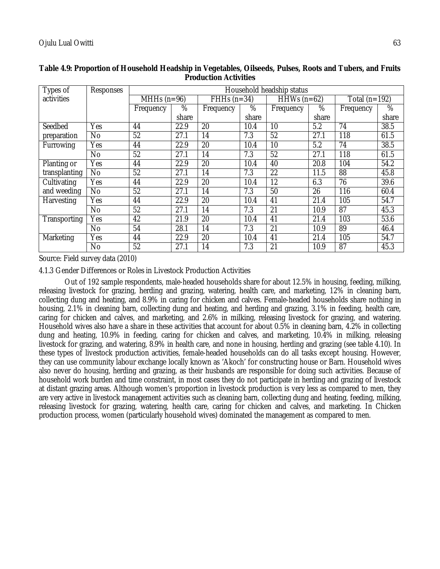| Types of      | Responses      |               |       |               |       | Household headship status |                 |                   |                 |
|---------------|----------------|---------------|-------|---------------|-------|---------------------------|-----------------|-------------------|-----------------|
| activities    |                | MHHs $(n=96)$ |       | FHHs $(n=34)$ |       | $HHWs (n=62)$             |                 | Total ( $n=192$ ) |                 |
|               |                | Frequency     | %     | Frequency     | %     | Frequency                 | $\overline{\%}$ | Frequency         | $\overline{\%}$ |
|               |                |               | share |               | share |                           | share           |                   | share           |
| Seedbed       | Yes            | 44            | 22.9  | 20            | 10.4  | 10                        | 5.2             | 74                | 38.5            |
| preparation   | N <sub>0</sub> | 52            | 27.1  | 14            | 7.3   | 52                        | 27.1            | 118               | 61.5            |
| Furrowing     | Yes            | 44            | 22.9  | 20            | 10.4  | 10                        | 5.2             | $7\overline{4}$   | 38.5            |
|               | No             | 52            | 27.1  | 14            | 7.3   | 52                        | 27.1            | 118               | 61.5            |
| Planting or   | Yes            | 44            | 22.9  | 20            | 10.4  | 40                        | 20.8            | 104               | 54.2            |
| transplanting | No             | 52            | 27.1  | 14            | 7.3   | 22                        | 11.5            | 88                | 45.8            |
| Cultivating   | Yes            | 44            | 22.9  | 20            | 10.4  | 12                        | 6.3             | 76                | 39.6            |
| and weeding   | N <sub>0</sub> | 52            | 27.1  | 14            | 7.3   | 50                        | 26              | 116               | 60.4            |
| Harvesting    | Yes            | 44            | 22.9  | 20            | 10.4  | 41                        | 21.4            | 105               | 54.7            |
|               | <b>No</b>      | 52            | 27.1  | 14            | 7.3   | 21                        | 10.9            | 87                | 45.3            |
| Transporting  | Yes            | 42            | 21.9  | 20            | 10.4  | 41                        | 21.4            | 103               | 53.6            |
|               | <b>No</b>      | 54            | 28.1  | 14            | 7.3   | 21                        | 10.9            | 89                | 46.4            |
| Marketing     | Yes            | 44            | 22.9  | 20            | 10.4  | 41                        | 21.4            | 105               | 54.7            |
|               | No             | 52            | 27.1  | 14            | 7.3   | 21                        | 10.9            | 87                | 45.3            |

# **Table 4.9: Proportion of Household Headship in Vegetables, Oilseeds, Pulses, Roots and Tubers, and Fruits Production Activities**

Source: Field survey data (2010)

4.1.3 Gender Differences or Roles in Livestock Production Activities

Out of 192 sample respondents, male-headed households share for about 12.5% in housing, feeding, milking, releasing livestock for grazing, herding and grazing, watering, health care, and marketing, 12% in cleaning barn, collecting dung and heating, and 8.9% in caring for chicken and calves. Female-headed households share nothing in housing, 2.1% in cleaning barn, collecting dung and heating, and herding and grazing, 3.1% in feeding, health care, caring for chicken and calves, and marketing, and 2.6% in milking, releasing livestock for grazing, and watering. Household wives also have a share in these activities that account for about 0.5% in cleaning barn, 4.2% in collecting dung and heating, 10.9% in feeding, caring for chicken and calves, and marketing, 10.4% in milking, releasing livestock for grazing, and watering, 8.9% in health care, and none in housing, herding and grazing (see table 4.10). In these types of livestock production activities, female-headed households can do all tasks except housing. However, they can use community labour exchange locally known as 'Akoch' for constructing house or Barn. Household wives also never do housing, herding and grazing, as their husbands are responsible for doing such activities. Because of household work burden and time constraint, in most cases they do not participate in herding and grazing of livestock at distant grazing areas. Although women's proportion in livestock production is very less as compared to men, they are very active in livestock management activities such as cleaning barn, collecting dung and heating, feeding, milking, releasing livestock for grazing, watering, health care, caring for chicken and calves, and marketing. In Chicken production process, women (particularly household wives) dominated the management as compared to men.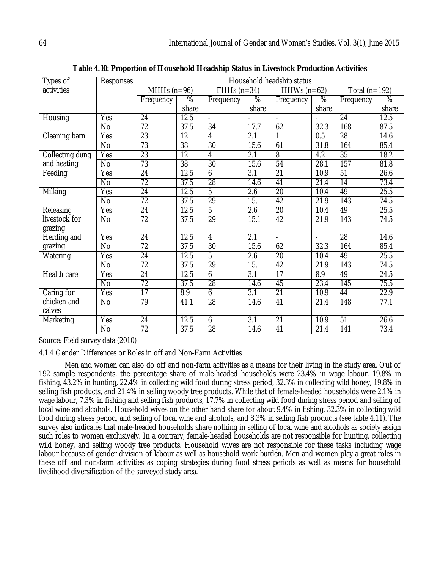| Types of        | <b>Responses</b> |                 |                 |                 |                   | Household headship status |                     |                  |                   |
|-----------------|------------------|-----------------|-----------------|-----------------|-------------------|---------------------------|---------------------|------------------|-------------------|
| activities      |                  | MHHs $(n=96)$   |                 | $FHHs(n=34)$    |                   | $HHWs (n=62)$             |                     | Total $(n=192)$  |                   |
|                 |                  | Frequency       | %               | Frequency       | %                 | Frequency                 | %                   | Frequency        | $\frac{8}{6}$     |
|                 |                  |                 | share           |                 | share             |                           | share               |                  | share             |
| Housing         | Yes              | 24              | 12.5            | $\overline{a}$  |                   | $\blacksquare$            |                     | 24               | 12.5              |
|                 | $\overline{N}$   | $\overline{72}$ | 37.5            | $\overline{34}$ | 17.7              | 62                        | 32.3                | 168              | 87.5              |
| Cleaning barn   | Yes              | $\overline{23}$ | $\overline{12}$ | 4               | $\overline{2.1}$  | 1                         | 0.5                 | $\overline{28}$  | 14.6              |
|                 | <b>No</b>        | $\overline{73}$ | 38              | 30              | 15.6              | 61                        | 31.8                | 164              | 85.4              |
| Collecting dung | Yes              | 23              | $\overline{12}$ | $\overline{4}$  | $\overline{2.1}$  | 8                         | $\overline{4.2}$    | 35               | 18.2              |
| and heating     | $\overline{N}$   | 73              | 38              | 30              | 15.6              | 54                        | 28.1                | 157              | 81.8              |
| Feeding         | Yes              | 24              | 12.5            | 6               | 3.1               | 21                        | 10.9                | 51               | 26.6              |
|                 | $\overline{N}$   | $\overline{72}$ | 37.5            | 28              | 14.6              | 41                        | 21.4                | 14               | 73.4              |
| Milking         | Yes              | $\overline{24}$ | 12.5            | $\overline{5}$  | $\overline{2.6}$  | $\overline{20}$           | 10.4                | 49               | 25.5              |
|                 | N <sub>o</sub>   | $\overline{72}$ | 37.5            | $\overline{29}$ | 15.1              | 42                        | 21.9                | 143              | 74.5              |
| Releasing       | Yes              | 24              | 12.5            | $\overline{5}$  | $\overline{2.6}$  | $\overline{20}$           | 10.4                | 49               | 25.5              |
| livestock for   | <b>No</b>        | $\overline{72}$ | 37.5            | $\overline{29}$ | 15.1              | 42                        | 21.9                | $\overline{143}$ | $\overline{74.5}$ |
| grazing         |                  |                 |                 |                 |                   |                           |                     |                  |                   |
| Herding and     | Yes              | $\overline{24}$ | 12.5            | $\overline{4}$  | 2.1               | $\mathbf{r}$              | $\mathcal{L}^{\pm}$ | $\overline{28}$  | 14.6              |
| grazing         | <b>No</b>        | 72              | 37.5            | 30              | 15.6              | 62                        | 32.3                | 164              | 85.4              |
| Watering        | Yes              | $\overline{24}$ | 12.5            | 5               | 2.6               | $\overline{20}$           | 10.4                | 49               | 25.5              |
|                 | $\overline{N}$   | $\overline{72}$ | 37.5            | 29              | 15.1              | 42                        | 21.9                | 143              | 74.5              |
| Health care     | Yes              | 24              | 12.5            | 6               | 3.1               | 17                        | 8.9                 | 49               | 24.5              |
|                 | $\overline{N}$   | $\overline{72}$ | 37.5            | 28              | $\overline{14.6}$ | 45                        | 23.4                | 145              | 75.5              |
| Caring for      | Yes              | $\overline{17}$ | 8.9             | $\overline{6}$  | $\overline{3.1}$  | $\overline{21}$           | 10.9                | 44               | 22.9              |
| chicken and     | No               | 79              | 41.1            | 28              | 14.6              | 41                        | 21.4                | 148              | 77.1              |
| calves          |                  |                 |                 |                 |                   |                           |                     |                  |                   |
| Marketing       | Yes              | 24              | 12.5            | 6               | $\overline{3.1}$  | $\overline{21}$           | 10.9                | $\overline{51}$  | 26.6              |
|                 | $\overline{N}$   | $\overline{72}$ | 37.5            | $\overline{28}$ | 14.6              | $\overline{41}$           | 21.4                | 141              | 73.4              |

**Table 4.10: Proportion of Household Headship Status in Livestock Production Activities**

Source: Field survey data (2010)

4.1.4 Gender Differences or Roles in off and Non-Farm Activities

Men and women can also do off and non-farm activities as a means for their living in the study area. Out of 192 sample respondents, the percentage share of male-headed households were 23.4% in wage labour, 19.8% in fishing, 43.2% in hunting, 22.4% in collecting wild food during stress period, 32.3% in collecting wild honey, 19.8% in selling fish products, and 21.4% in selling woody tree products. While that of female-headed households were 2.1% in wage labour, 7.3% in fishing and selling fish products, 17.7% in collecting wild food during stress period and selling of local wine and alcohols. Household wives on the other hand share for about 9.4% in fishing, 32.3% in collecting wild food during stress period, and selling of local wine and alcohols, and 8.3% in selling fish products (see table 4.11). The survey also indicates that male-headed households share nothing in selling of local wine and alcohols as society assign such roles to women exclusively. In a contrary, female-headed households are not responsible for hunting, collecting wild honey, and selling woody tree products. Household wives are not responsible for these tasks including wage labour because of gender division of labour as well as household work burden. Men and women play a great roles in these off and non-farm activities as coping strategies during food stress periods as well as means for household livelihood diversification of the surveyed study area.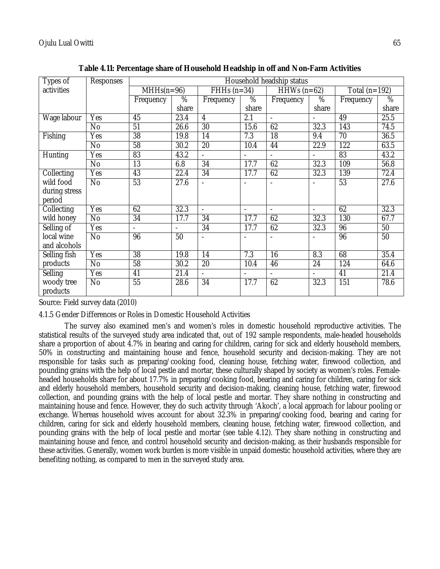| Types of      | <b>Responses</b> | Household headship status |                   |                 |                          |                          |                          |                   |       |
|---------------|------------------|---------------------------|-------------------|-----------------|--------------------------|--------------------------|--------------------------|-------------------|-------|
| activities    |                  | $MHHs(n=96)$              |                   | $FHHs(n=34)$    |                          | HHWs $(n=62)$            |                          | Total ( $n=192$ ) |       |
|               |                  | Frequency                 | %                 | Frequency       | %                        | Frequency                | %                        | Frequency         | %     |
|               |                  |                           | share             |                 | share                    |                          | share                    |                   | share |
| Wage labour   | Yes              | 45                        | 23.4              | 4               | 2.1                      |                          |                          | 49                | 25.5  |
|               | No               | $\overline{51}$           | 26.6              | $\overline{30}$ | 15.6                     | 62                       | 32.3                     | $\overline{143}$  | 74.5  |
| Fishing       | Yes              | $\overline{38}$           | 19.8              | $\overline{14}$ | 7.3                      | $\overline{18}$          | 9.4                      | 70                | 36.5  |
|               | <b>No</b>        | 58                        | 30.2              | 20              | 10.4                     | 44                       | 22.9                     | $\overline{122}$  | 63.5  |
| Hunting       | Yes              | 83                        | 43.2              | $\frac{1}{2}$   | $\overline{a}$           | $\overline{\phantom{a}}$ | $\overline{\phantom{0}}$ | 83                | 43.2  |
|               | $\overline{N}$   | $\overline{13}$           | 6.8               | $\overline{34}$ | 17.7                     | 62                       | 32.3                     | 109               | 56.8  |
| Collecting    | Yes              | 43                        | 22.4              | 34              | 17.7                     | 62                       | 32.3                     | 139               | 72.4  |
| wild food     | $\overline{N}$   | 53                        | 27.6              |                 |                          |                          |                          | $\overline{53}$   | 27.6  |
| during stress |                  |                           |                   |                 |                          |                          |                          |                   |       |
| period        |                  |                           |                   |                 |                          |                          |                          |                   |       |
| Collecting    | Yes              | 62                        | 32.3              |                 | $\blacksquare$           |                          | $\overline{a}$           | 62                | 32.3  |
| wild honey    | No               | $\overline{34}$           | 17.7              | 34              | 17.7                     | 62                       | 32.3                     | 130               | 67.7  |
| Selling of    | Yes              | $\overline{\phantom{a}}$  | $\overline{a}$    | 34              | 17.7                     | 62                       | 32.3                     | 96                | 50    |
| local wine    | <b>No</b>        | 96                        | 50                |                 | L,                       |                          | L,                       | 96                | 50    |
| and alcohols  |                  |                           |                   |                 |                          |                          |                          |                   |       |
| Selling fish  | Yes              | 38                        | 19.8              | 14              | 7.3                      | 16                       | 8.3                      | 68                | 35.4  |
| products      | $\overline{N}$   | $\overline{58}$           | $\overline{30.2}$ | 20              | 10.4                     | 46                       | 24                       | $\overline{124}$  | 64.6  |
| Selling       | Yes              | 41                        | 21.4              |                 | $\overline{\phantom{a}}$ |                          | $\overline{\phantom{a}}$ | 41                | 21.4  |
| woody tree    | No               | 55                        | 28.6              | 34              | 17.7                     | 62                       | 32.3                     | 151               | 78.6  |
| products      |                  |                           |                   |                 |                          |                          |                          |                   |       |

**Table 4.11: Percentage share of Household Headship in off and Non-Farm Activities**

Source: Field survey data (2010)

4.1.5 Gender Differences or Roles in Domestic Household Activities

The survey also examined men's and women's roles in domestic household reproductive activities. The statistical results of the surveyed study area indicated that, out of 192 sample respondents, male-headed households share a proportion of about 4.7% in bearing and caring for children, caring for sick and elderly household members, 50% in constructing and maintaining house and fence, household security and decision-making. They are not responsible for tasks such as preparing/cooking food, cleaning house, fetching water, firewood collection, and pounding grains with the help of local pestle and mortar, these culturally shaped by society as women's roles. Femaleheaded households share for about 17.7% in preparing/cooking food, bearing and caring for children, caring for sick and elderly household members, household security and decision-making, cleaning house, fetching water, firewood collection, and pounding grains with the help of local pestle and mortar. They share nothing in constructing and maintaining house and fence. However, they do such activity through 'Akoch', a local approach for labour pooling or exchange. Whereas household wives account for about 32.3% in preparing/cooking food, bearing and caring for children, caring for sick and elderly household members, cleaning house, fetching water, firewood collection, and pounding grains with the help of local pestle and mortar (see table 4.12). They share nothing in constructing and maintaining house and fence, and control household security and decision-making, as their husbands responsible for these activities. Generally, women work burden is more visible in unpaid domestic household activities, where they are benefiting nothing, as compared to men in the surveyed study area.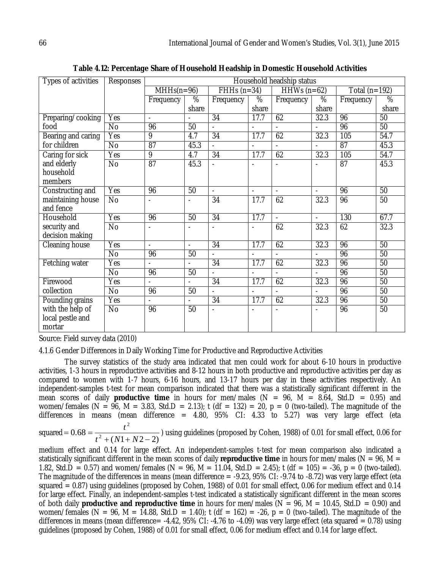| Types of activities                            | <b>Responses</b> |                          |                          |                          |                          |                |                          |                 |                 |
|------------------------------------------------|------------------|--------------------------|--------------------------|--------------------------|--------------------------|----------------|--------------------------|-----------------|-----------------|
|                                                |                  | $MHHs(n=96)$             |                          | $FHHs(n=34)$             |                          | HHWs $(n=62)$  |                          | Total $(n=192)$ |                 |
|                                                |                  | Frequency                | $\overline{\%}$          | Frequency                | $\overline{\%}$          | Frequency      | $\overline{\%}$          | Frequency       | $\%$            |
|                                                |                  |                          | share                    |                          | share                    |                | share                    |                 | share           |
| Preparing/cooking                              | Yes              |                          |                          | $\overline{34}$          | 17.7                     | 62             | 32.3                     | 96              | $\overline{50}$ |
| food                                           | $\overline{N}$   | 96                       | $\overline{50}$          |                          |                          |                |                          | 96              | 50              |
| Bearing and caring                             | Yes              | 9                        | 4.7                      | $\overline{34}$          | 17.7                     | 62             | 32.3                     | 105             | 54.7            |
| for children                                   | No               | $\overline{87}$          | 45.3                     |                          |                          |                |                          | $\overline{87}$ | 45.3            |
| Caring for sick                                | Yes              | $\overline{9}$           | 4.7                      | 34                       | 17.7                     | 62             | 32.3                     | 105             | 54.7            |
| and elderly<br>household<br>members            | $\overline{N}$   | 87                       | 45.3                     | $\overline{\phantom{0}}$ | $\overline{\phantom{a}}$ | ÷,             | $\overline{\phantom{a}}$ | $\overline{87}$ | 45.3            |
| Constructing and                               | Yes              | 96                       | 50                       | $\overline{\phantom{a}}$ | $\blacksquare$           | $\blacksquare$ | $\overline{\phantom{a}}$ | 96              | 50              |
| maintaining house<br>and fence                 | $\overline{N}$   | $\overline{\phantom{a}}$ | $\overline{\phantom{a}}$ | $\overline{34}$          | 17.7                     | 62             | 32.3                     | 96              | $\overline{50}$ |
| Household                                      | Yes              | 96                       | 50                       | 34                       | 17.7                     |                |                          | 130             | 67.7            |
| security and<br>decision making                | $\overline{N}$   | $\overline{\phantom{a}}$ |                          |                          |                          | 62             | 32.3                     | 62              | 32.3            |
| Cleaning house                                 | Yes              | $\overline{\phantom{a}}$ | $\blacksquare$           | 34                       | 17.7                     | 62             | 32.3                     | 96              | 50              |
|                                                | $\overline{N}$   | 96                       | 50                       |                          |                          |                |                          | 96              | 50              |
| Fetching water                                 | Yes              | $\overline{\phantom{a}}$ | $\overline{\phantom{a}}$ | 34                       | 17.7                     | 62             | 32.3                     | 96              | 50              |
|                                                | No               | 96                       | 50                       |                          |                          |                |                          | 96              | 50              |
| Firewood                                       | Yes              |                          | $\blacksquare$           | 34                       | 17.7                     | 62             | 32.3                     | 96              | 50              |
| collection                                     | <b>No</b>        | 96                       | 50                       | $\overline{a}$           | $\sim$                   | $\overline{a}$ | $\blacksquare$           | 96              | 50              |
| Pounding grains                                | Yes              |                          |                          | 34                       | 17.7                     | 62             | 32.3                     | 96              | 50              |
| with the help of<br>local pestle and<br>mortar | $\overline{N}$   | 96                       | 50                       |                          |                          |                |                          | 96              | 50              |

**Table 4.12: Percentage Share of Household Headship in Domestic Household Activities**

Source: Field survey data (2010)

4.1.6 Gender Differences in Daily Working Time for Productive and Reproductive Activities

The survey statistics of the study area indicated that men could work for about 6-10 hours in productive activities, 1-3 hours in reproductive activities and 8-12 hours in both productive and reproductive activities per day as compared to women with 1-7 hours, 6-16 hours, and 13-17 hours per day in these activities respectively. An independent-samples t-test for mean comparison indicated that there was a statistically significant different in the mean scores of daily **productive time** in hours for men/males (N = 96, M = 8.64, Std.D = 0.95) and women/females (N = 96, M = 3.83, Std.D = 2.13); t (df = 132) = 20, p = 0 (two-tailed). The magnitude of the differences in means (mean difference =  $4.80$ ,  $95\%$  CI:  $4.33$  to  $5.27$ ) was very large effect (eta squared  $0.68 = \frac{1}{t^2 + (N1 + N2 - 2)}$ 2  $+(N1+N2 = 0.68 =$  $t^2 + (N1 + N)$  $\frac{t^2}{\sqrt{2}}$  ) using guidelines (proposed by Cohen, 1988) of 0.01 for small effect, 0.06 for

medium effect and 0.14 for large effect. An independent-samples t-test for mean comparison also indicated a statistically significant different in the mean scores of daily **reproductive time** in hours for men/males (N = 96, M = 1.82, Std.D = 0.57) and women/females (N = 96, M = 11.04, Std.D = 2.45); t (df = 105) = -36, p = 0 (two-tailed). The magnitude of the differences in means (mean difference = -9.23, 95% CI: -9.74 to -8.72) was very large effect (eta squared = 0.87) using guidelines (proposed by Cohen, 1988) of 0.01 for small effect, 0.06 for medium effect and 0.14 for large effect. Finally, an independent-samples t-test indicated a statistically significant different in the mean scores of both daily **productive and reproductive time** in hours for men/males (N = 96, M = 10.45, Std.D = 0.90) and women/females (N = 96, M = 14.88, Std.D = 1.40); t (df = 162) = -26, p = 0 (two-tailed). The magnitude of the differences in means (mean difference=  $-4.42$ , 95% CI:  $-4.76$  to  $-4.09$ ) was very large effect (eta squared = 0.78) using guidelines (proposed by Cohen, 1988) of 0.01 for small effect, 0.06 for medium effect and 0.14 for large effect.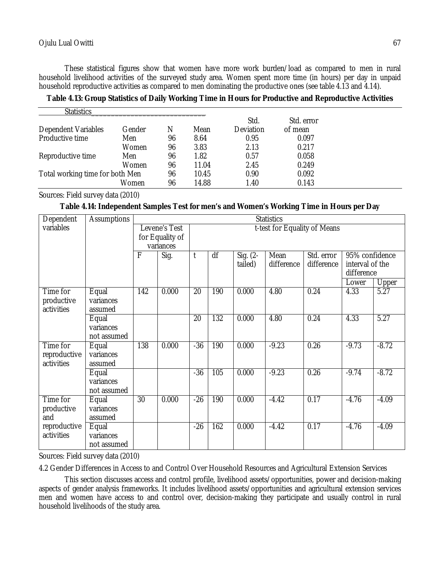These statistical figures show that women have more work burden/load as compared to men in rural household livelihood activities of the surveyed study area. Women spent more time (in hours) per day in unpaid household reproductive activities as compared to men dominating the productive ones (see table 4.13 and 4.14).

**Table 4.13: Group Statistics of Daily Working Time in Hours for Productive and Reproductive Activities**

| <b>Statistics</b>               |        |    |       |           |            |  |
|---------------------------------|--------|----|-------|-----------|------------|--|
|                                 |        |    |       | Std.      | Std. error |  |
| Dependent Variables             | Gender | N  | Mean  | Deviation | of mean    |  |
| Productive time                 | Men    | 96 | 8.64  | 0.95      | 0.097      |  |
|                                 | Women  | 96 | 3.83  | 2.13      | 0.217      |  |
| Reproductive time               | Men    | 96 | 1.82  | 0.57      | 0.058      |  |
|                                 | Women  | 96 | 11.04 | 2.45      | 0.249      |  |
| Total working time for both Men |        | 96 | 10.45 | 0.90      | 0.092      |  |
|                                 | Women  | 96 | 14.88 | 1.40      | 0.143      |  |

Sources: Field survey data (2010)

# **Table 4.14: Independent Samples Test for men's and Women's Working Time in Hours per Day**

| Dependent                              | <b>Assumptions</b>                |                 |                                                                               |                 |     |                        | <b>Statistics</b>  |                          |                                                 |         |  |
|----------------------------------------|-----------------------------------|-----------------|-------------------------------------------------------------------------------|-----------------|-----|------------------------|--------------------|--------------------------|-------------------------------------------------|---------|--|
| variables                              |                                   |                 | t-test for Equality of Means<br>Levene's Test<br>for Equality of<br>variances |                 |     |                        |                    |                          |                                                 |         |  |
|                                        |                                   | F               | Sig.                                                                          | $\mathsf{t}$    | df  | Sig. $(2 -$<br>tailed) | Mean<br>difference | Std. error<br>difference | 95% confidence<br>interval of the<br>difference |         |  |
|                                        |                                   |                 |                                                                               |                 |     |                        |                    |                          | Lower                                           | Upper   |  |
| Time for<br>productive<br>activities   | Equal<br>variances<br>assumed     | 142             | 0.000                                                                         | 20              | 190 | 0.000                  | 4.80               | 0.24                     | 4.33                                            | 5.27    |  |
|                                        | Equal<br>variances<br>not assumed |                 |                                                                               | $\overline{20}$ | 132 | 0.000                  | 4.80               | 0.24                     | 4.33                                            | 5.27    |  |
| Time for<br>reproductive<br>activities | Equal<br>variances<br>assumed     | 138             | 0.000                                                                         | $-36$           | 190 | 0.000                  | $-9.23$            | 0.26                     | $-9.73$                                         | $-8.72$ |  |
|                                        | Equal<br>variances<br>not assumed |                 |                                                                               | $-36$           | 105 | 0.000                  | $-9.23$            | 0.26                     | $-9.74$                                         | $-8.72$ |  |
| Time for<br>productive<br>and          | Equal<br>variances<br>assumed     | $\overline{30}$ | 0.000                                                                         | $-26$           | 190 | 0.000                  | $-4.42$            | 0.17                     | $-4.76$                                         | $-4.09$ |  |
| reproductive<br>activities             | Equal<br>variances<br>not assumed |                 |                                                                               | $-26$           | 162 | 0.000                  | $-4.42$            | 0.17                     | $-4.76$                                         | $-4.09$ |  |

Sources: Field survey data (2010)

4.2 Gender Differences in Access to and Control Over Household Resources and Agricultural Extension Services

This section discusses access and control profile, livelihood assets/opportunities, power and decision-making aspects of gender analysis frameworks. It includes livelihood assets/opportunities and agricultural extension services men and women have access to and control over, decision-making they participate and usually control in rural household livelihoods of the study area.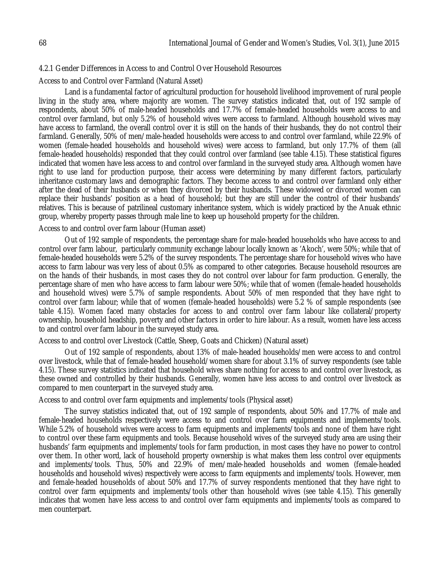### 4.2.1 Gender Differences in Access to and Control Over Household Resources

Access to and Control over Farmland (Natural Asset)

Land is a fundamental factor of agricultural production for household livelihood improvement of rural people living in the study area, where majority are women. The survey statistics indicated that, out of 192 sample of respondents, about 50% of male-headed households and 17.7% of female-headed households were access to and control over farmland, but only 5.2% of household wives were access to farmland. Although household wives may have access to farmland, the overall control over it is still on the hands of their husbands, they do not control their farmland. Generally, 50% of men/male-headed households were access to and control over farmland, while 22.9% of women (female-headed households and household wives) were access to farmland, but only 17.7% of them (all female-headed households) responded that they could control over farmland (see table 4.15). These statistical figures indicated that women have less access to and control over farmland in the surveyed study area. Although women have right to use land for production purpose, their access were determining by many different factors, particularly inheritance customary laws and demographic factors. They become access to and control over farmland only either after the dead of their husbands or when they divorced by their husbands. These widowed or divorced women can replace their husbands' position as a head of household; but they are still under the control of their husbands' relatives. This is because of patrilineal customary inheritance system, which is widely practiced by the Anuak ethnic group, whereby property passes through male line to keep up household property for the children.

#### Access to and control over farm labour (Human asset)

Out of 192 sample of respondents, the percentage share for male-headed households who have access to and control over farm labour, particularly community exchange labour locally known as 'Akoch', were 50%; while that of female-headed households were 5.2% of the survey respondents. The percentage share for household wives who have access to farm labour was very less of about 0.5% as compared to other categories. Because household resources are on the hands of their husbands, in most cases they do not control over labour for farm production. Generally, the percentage share of men who have access to farm labour were 50%; while that of women (female-headed households and household wives) were 5.7% of sample respondents. About 50% of men responded that they have right to control over farm labour; while that of women (female-headed households) were 5.2 % of sample respondents (see table 4.15). Women faced many obstacles for access to and control over farm labour like collateral/property ownership, household headship, poverty and other factors in order to hire labour. As a result, women have less access to and control over farm labour in the surveyed study area.

Access to and control over Livestock (Cattle, Sheep, Goats and Chicken) (Natural asset)

Out of 192 sample of respondents, about 13% of male-headed households/men were access to and control over livestock, while that of female-headed household/women share for about 3.1% of survey respondents (see table 4.15). These survey statistics indicated that household wives share nothing for access to and control over livestock, as these owned and controlled by their husbands. Generally, women have less access to and control over livestock as compared to men counterpart in the surveyed study area.

Access to and control over farm equipments and implements/tools (Physical asset)

The survey statistics indicated that, out of 192 sample of respondents, about 50% and 17.7% of male and female-headed households respectively were access to and control over farm equipments and implements/tools. While 5.2% of household wives were access to farm equipments and implements/tools and none of them have right to control over these farm equipments and tools. Because household wives of the surveyed study area are using their husbands' farm equipments and implements/tools for farm production, in most cases they have no power to control over them. In other word, lack of household property ownership is what makes them less control over equipments and implements/tools. Thus, 50% and 22.9% of men/male-headed households and women (female-headed households and household wives) respectively were access to farm equipments and implements/tools. However, men and female-headed households of about 50% and 17.7% of survey respondents mentioned that they have right to control over farm equipments and implements/tools other than household wives (see table 4.15). This generally indicates that women have less access to and control over farm equipments and implements/tools as compared to men counterpart.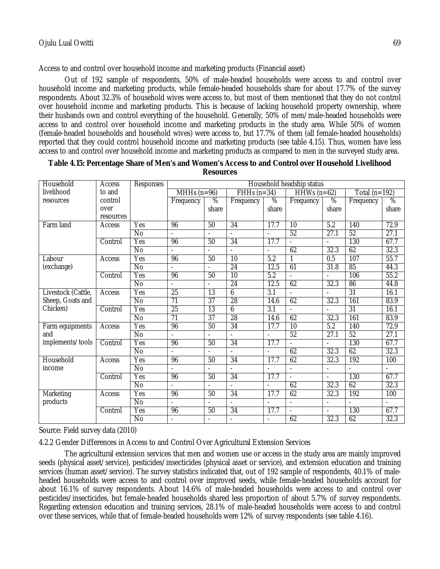Access to and control over household income and marketing products (Financial asset)

Out of 192 sample of respondents, 50% of male-headed households were access to and control over household income and marketing products, while female-headed households share for about 17.7% of the survey respondents. About 32.3% of household wives were access to, but most of them mentioned that they do not control over household income and marketing products. This is because of lacking household property ownership, where their husbands own and control everything of the household. Generally, 50% of men/male-headed households were access to and control over household income and marketing products in the study area. While 50% of women (female-headed households and household wives) were access to, but 17.7% of them (all female-headed households) reported that they could control household income and marketing products (see table 4.15). Thus, women have less access to and control over household income and marketing products as compared to men in the surveyed study area.

| Household          | Access    | Household headship status<br>Responses |                          |                          |                 |                          |                          |                          |                  |                          |
|--------------------|-----------|----------------------------------------|--------------------------|--------------------------|-----------------|--------------------------|--------------------------|--------------------------|------------------|--------------------------|
| livelihood         | to and    |                                        | $MHHs(n=96)$             |                          | $FHHs(n=34)$    |                          | $HHWs (n=62)$            |                          | Total $(n=192)$  |                          |
| resources          | control   |                                        | Frequency                | %                        | Frequency       | %                        | Frequency                | %                        | Frequency        | %                        |
|                    | over      |                                        |                          | share                    |                 | share                    |                          | share                    |                  | share                    |
|                    | resources |                                        |                          |                          |                 |                          |                          |                          |                  |                          |
| Farm land          | Access    | Yes                                    | 96                       | 50                       | $\overline{34}$ | 17.7                     | 10                       | 5.2                      | 140              | 72.9                     |
|                    |           | $\overline{N}$                         | $\overline{a}$           | $\overline{a}$           |                 | $\blacksquare$           | 52                       | 27.1                     | 52               | 27.1                     |
|                    | Control   | Yes                                    | 96                       | 50                       | 34              | 17.7                     |                          | $\overline{\phantom{a}}$ | 130              | 67.7                     |
|                    |           | $\overline{N}$                         |                          | $\blacksquare$           | $\overline{a}$  | $\blacksquare$           | 62                       | 32.3                     | 62               | 32.3                     |
| Labour             | Access    | Yes                                    | 96                       | 50                       | $\overline{10}$ | 5.2                      | 1                        | 0.5                      | 107              | 55.7                     |
| (exchange)         |           | $\overline{N}$                         |                          |                          | 24              | 12.5                     | 61                       | 31.8                     | 85               | 44.3                     |
|                    | Control   | Yes                                    | 96                       | 50                       | 10              | 5.2                      | $\overline{\phantom{a}}$ | $\blacksquare$           | 106              | 55.2                     |
|                    |           | $\overline{N}$                         | $\blacksquare$           | $\overline{\phantom{0}}$ | 24              | 12.5                     | 62                       | 32.3                     | 86               | 44.8                     |
| Livestock (Cattle, | Access    | Yes                                    | $\overline{25}$          | $\overline{13}$          | 6               | 3.1                      |                          | $\blacksquare$           | $\overline{31}$  | 16.1                     |
| Sheep, Goats and   |           | No                                     | 71                       | 37                       | 28              | 14.6                     | 62                       | 32.3                     | 161              | 83.9                     |
| Chicken)           | Control   | Yes                                    | 25                       | $\overline{13}$          | 6               | 3.1                      |                          |                          | $\overline{31}$  | 16.1                     |
|                    |           | No                                     | $\overline{71}$          | $\overline{37}$          | 28              | 14.6                     | 62                       | 32.3                     | 161              | 83.9                     |
| Farm equipments    | Access    | Yes                                    | 96                       | 50                       | 34              | 17.7                     | 10                       | 5.2                      | 140              | 72.9                     |
| and                |           | $\overline{N}$                         | $\overline{a}$           | $\blacksquare$           | $\overline{a}$  | $\blacksquare$           | 52                       | 27.1                     | 52               | 27.1                     |
| implements/tools   | Control   | Yes                                    | 96                       | 50                       | 34              | 17.7                     |                          | $\overline{\phantom{a}}$ | 130              | 67.7                     |
|                    |           | <b>No</b>                              |                          |                          | ÷.              | $\blacksquare$           | 62                       | 32.3                     | 62               | 32.3                     |
| Household          | Access    | Yes                                    | 96                       | 50                       | 34              | 17.7                     | 62                       | 32.3                     | $\overline{192}$ | 100                      |
| income             |           | No                                     | $\overline{\phantom{a}}$ |                          |                 |                          |                          | $\overline{\phantom{a}}$ |                  | $\blacksquare$           |
|                    | Control   | Yes                                    | 96                       | 50                       | 34              | 17.7                     | $\blacksquare$           | $\blacksquare$           | 130              | 67.7                     |
|                    |           | $\overline{N}$                         |                          |                          |                 | $\overline{\phantom{a}}$ | 62                       | 32.3                     | 62               | 32.3                     |
| Marketing          | Access    | Yes                                    | 96                       | 50                       | 34              | 17.7                     | 62                       | 32.3                     | $\overline{192}$ | 100                      |
| products           |           | No                                     | $\overline{\phantom{a}}$ | $\overline{\phantom{a}}$ | $\blacksquare$  | $\blacksquare$           | $\blacksquare$           | $\overline{\phantom{a}}$ | $\overline{a}$   | $\overline{\phantom{a}}$ |
|                    | Control   | Yes                                    | 96                       | 50                       | 34              | 17.7                     |                          | $\blacksquare$           | 130              | 67.7                     |
|                    |           | $\overline{N}$                         | $\blacksquare$           | $\blacksquare$           |                 |                          | 62                       | 32.3                     | 62               | 32.3                     |

**Table 4.15: Percentage Share of Men's and Women's Access to and Control over Household Livelihood Resources**

Source: Field survey data (2010)

4.2.2 Gender Differences in Access to and Control Over Agricultural Extension Services

The agricultural extension services that men and women use or access in the study area are mainly improved seeds (physical asset/service), pesticides/insecticides (physical asset or service), and extension education and training services (human asset/service). The survey statistics indicated that, out of 192 sample of respondents, 40.1% of maleheaded households were access to and control over improved seeds, while female-headed households account for about 16.1% of survey respondents. About 14.6% of male-headed households were access to and control over pesticides/insecticides, but female-headed households shared less proportion of about 5.7% of survey respondents. Regarding extension education and training services, 28.1% of male-headed households were access to and control over these services, while that of female-headed households were 12% of survey respondents (see table 4.16).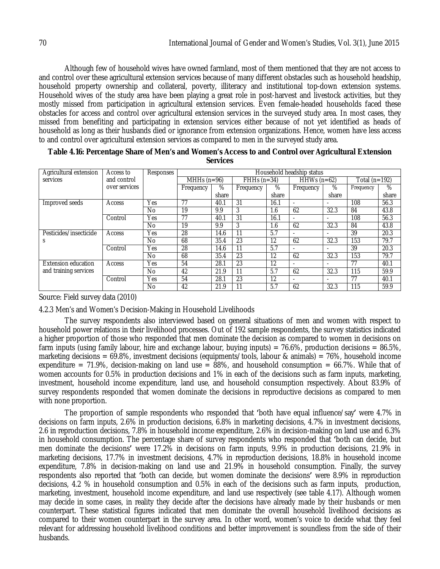Although few of household wives have owned farmland, most of them mentioned that they are not access to and control over these agricultural extension services because of many different obstacles such as household headship, household property ownership and collateral, poverty, illiteracy and institutional top-down extension systems. Household wives of the study area have been playing a great role in post-harvest and livestock activities, but they mostly missed from participation in agricultural extension services. Even female-headed households faced these obstacles for access and control over agricultural extension services in the surveyed study area. In most cases, they missed from benefiting and participating in extension services either because of not yet identified as heads of household as long as their husbands died or ignorance from extension organizations. Hence, women have less access to and control over agricultural extension services as compared to men in the surveyed study area.

| Agricultural extension | Access to     | Responses | Household headship status |       |              |       |                          |       |               |       |  |  |
|------------------------|---------------|-----------|---------------------------|-------|--------------|-------|--------------------------|-------|---------------|-------|--|--|
| services               | and control   |           | MHHs $(n=96)$             |       | $FHHs(n=34)$ |       | $HHWs (n=62)$            |       | Total (n=192) |       |  |  |
|                        | over services |           | Frequency                 | %     | Frequency    | %     | Frequency                | %     | Frequency     | %     |  |  |
|                        |               |           |                           | share |              | share |                          | share |               | share |  |  |
| Improved seeds         | Access        | Yes       | 77                        | 40.1  | 31           | 16.1  |                          |       | 108           | 56.3  |  |  |
|                        |               | No        | 19                        | 9.9   | 3            | 1.6   | 62                       | 32.3  | 84            | 43.8  |  |  |
|                        | Control       | Yes       | 77                        | 40.1  | 31           | 16.1  | $\overline{\phantom{0}}$ |       | 108           | 56.3  |  |  |
|                        |               | No.       | 19                        | 9.9   | 3            | 1.6   | 62                       | 32.3  | 84            | 43.8  |  |  |
| Pesticides/insecticide | Access        | Yes       | 28                        | 14.6  | 11           | 5.7   | $\overline{\phantom{0}}$ |       | 39            | 20.3  |  |  |
| S                      |               | No.       | 68                        | 35.4  | 23           | 12    | 62                       | 32.3  | 153           | 79.7  |  |  |
|                        | Control       | Yes       | 28                        | 14.6  |              | 5.7   | $\overline{\phantom{a}}$ |       | 39            | 20.3  |  |  |
|                        |               | No        | 68                        | 35.4  | 23           | 12    | 62                       | 32.3  | 153           | 79.7  |  |  |
| Extension education    | Access        | Yes       | 54                        | 28.1  | 23           | 12    | $\overline{a}$           |       | 77            | 40.1  |  |  |
| and training services  |               | No        | 42                        | 21.9  | 11           | 5.7   | 62                       | 32.3  | 115           | 59.9  |  |  |
|                        | Control       | Yes       | 54                        | 28.1  | 23           | 12    | $\overline{a}$           |       | 77            | 40.1  |  |  |
|                        |               | No        | 42                        | 21.9  | 11           | 5.7   | 62                       | 32.3  | 115           | 59.9  |  |  |

| Table 4.16: Percentage Share of Men's and Women's Access to and Control over Agricultural Extension |  |
|-----------------------------------------------------------------------------------------------------|--|
| <b>Services</b>                                                                                     |  |

Source: Field survey data (2010)

4.2.3 Men's and Women's Decision-Making in Household Livelihoods

The survey respondents also interviewed based on general situations of men and women with respect to household power relations in their livelihood processes. Out of 192 sample respondents, the survey statistics indicated a higher proportion of those who responded that men dominate the decision as compared to women in decisions on farm inputs (using family labour, hire and exchange labour, buying inputs) = 76.6%, production decisions = 86.5%, marketing decisions =  $69.8\%$ , investment decisions (equipments/tools, labour & animals) =  $76\%$ , household income expenditure = 71.9%, decision-making on land use = 88%, and household consumption = 66.7%. While that of women accounts for 0.5% in production decisions and 1% in each of the decisions such as farm inputs, marketing, investment, household income expenditure, land use, and household consumption respectively. About 83.9% of survey respondents responded that women dominate the decisions in reproductive decisions as compared to men with none proportion.

The proportion of sample respondents who responded that **'**both have equal influence/say**'** were 4.7% in decisions on farm inputs, 2.6% in production decisions, 6.8% in marketing decisions, 4.7% in investment decisions, 2.6 in reproduction decisions, 7.8% in household income expenditure, 2.6% in decision-making on land use and 6.3% in household consumption. The percentage share of survey respondents who responded that **'**both can decide, but men dominate the decisions**'** were 17.2% in decisions on farm inputs, 9.9% in production decisions, 21.9% in marketing decisions, 17.7% in investment decisions, 4.7% in reproduction decisions, 18.8% in household income expenditure, 7.8% in decision-making on land use and 21.9% in household consumption. Finally, the survey respondents also reported that **'**both can decide, but women dominate the decisions**'** were 8.9% in reproduction decisions, 4.2 % in household consumption and 0.5% in each of the decisions such as farm inputs, production, marketing, investment, household income expenditure, and land use respectively (see table 4.17). Although women may decide in some cases, in reality they decide after the decisions have already made by their husbands or men counterpart. These statistical figures indicated that men dominate the overall household livelihood decisions as compared to their women counterpart in the survey area. In other word, women's voice to decide what they feel relevant for addressing household livelihood conditions and better improvement is soundless from the side of their husbands.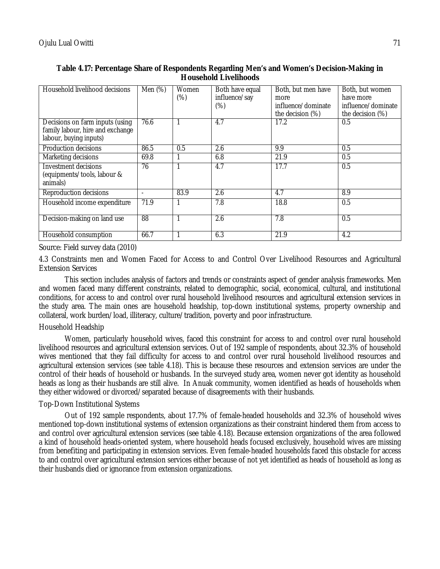| Household livelihood decisions                                                                | Men $(\%)$               | Women<br>$(\%)$ | Both have equal<br>influence/say<br>$(\%)$ | Both, but men have<br>more<br>influence/dominate<br>the decision (%) | Both, but women<br>have more<br>influence/dominate<br>the decision (%) |
|-----------------------------------------------------------------------------------------------|--------------------------|-----------------|--------------------------------------------|----------------------------------------------------------------------|------------------------------------------------------------------------|
| Decisions on farm inputs (using<br>family labour, hire and exchange<br>labour, buying inputs) | 76.6                     |                 | 4.7                                        | 17.2                                                                 | 0.5                                                                    |
| Production decisions                                                                          | 86.5                     | 0.5             | 2.6                                        | 9.9                                                                  | 0.5                                                                    |
| Marketing decisions                                                                           | 69.8                     |                 | 6.8                                        | 21.9                                                                 | 0.5                                                                    |
| <b>Investment decisions</b><br>(equipments/tools, labour &<br>animals)                        | 76                       |                 | 4.7                                        | 17.7                                                                 | 0.5                                                                    |
| Reproduction decisions                                                                        | $\overline{\phantom{a}}$ | 83.9            | 2.6                                        | 4.7                                                                  | 8.9                                                                    |
| Household income expenditure                                                                  | 71.9                     |                 | 7.8                                        | 18.8                                                                 | 0.5                                                                    |
| Decision-making on land use                                                                   | 88                       |                 | 2.6                                        | 7.8                                                                  | 0.5                                                                    |
| Household consumption                                                                         | 66.7                     |                 | 6.3                                        | 21.9                                                                 | 4.2                                                                    |

### **Table 4.17: Percentage Share of Respondents Regarding Men's and Women's Decision-Making in Household Livelihoods**

Source: Field survey data (2010)

4.3 Constraints men and Women Faced for Access to and Control Over Livelihood Resources and Agricultural Extension Services

This section includes analysis of factors and trends or constraints aspect of gender analysis frameworks. Men and women faced many different constraints, related to demographic, social, economical, cultural, and institutional conditions, for access to and control over rural household livelihood resources and agricultural extension services in the study area. The main ones are household headship, top-down institutional systems, property ownership and collateral, work burden/load, illiteracy, culture/tradition, poverty and poor infrastructure.

### Household Headship

Women, particularly household wives, faced this constraint for access to and control over rural household livelihood resources and agricultural extension services. Out of 192 sample of respondents, about 32.3% of household wives mentioned that they fail difficulty for access to and control over rural household livelihood resources and agricultural extension services (see table 4.18). This is because these resources and extension services are under the control of their heads of household or husbands. In the surveyed study area, women never got identity as household heads as long as their husbands are still alive. In Anuak community, women identified as heads of households when they either widowed or divorced/separated because of disagreements with their husbands.

### Top-Down Institutional Systems

Out of 192 sample respondents, about 17.7% of female-headed households and 32.3% of household wives mentioned top-down institutional systems of extension organizations as their constraint hindered them from access to and control over agricultural extension services (see table 4.18). Because extension organizations of the area followed a kind of household heads-oriented system, where household heads focused exclusively, household wives are missing from benefiting and participating in extension services. Even female-headed households faced this obstacle for access to and control over agricultural extension services either because of not yet identified as heads of household as long as their husbands died or ignorance from extension organizations.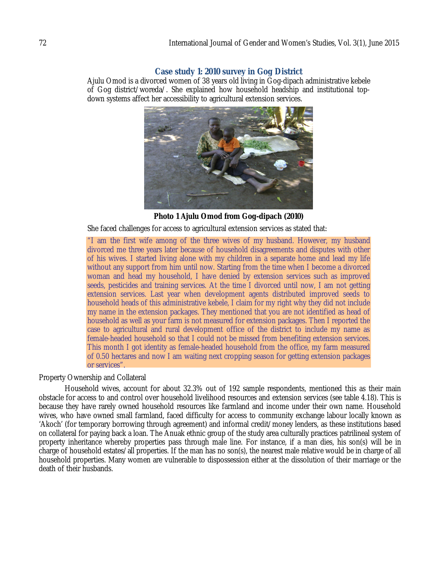## **Case study 1: 2010 survey in Gog District**

Ajulu Omod is a divorced women of 38 years old living in Gog-dipach administrative kebele of Gog district/woreda/. She explained how household headship and institutional topdown systems affect her accessibility to agricultural extension services.



**Photo 1 Ajulu Omod from Gog-dipach (2010)**

She faced challenges for access to agricultural extension services as stated that:

"I am the first wife among of the three wives of my husband. However, my husband divorced me three years later because of household disagreements and disputes with other of his wives. I started living alone with my children in a separate home and lead my life without any support from him until now. Starting from the time when I become a divorced woman and head my household, I have denied by extension services such as improved seeds, pesticides and training services. At the time I divorced until now, I am not getting extension services. Last year when development agents distributed improved seeds to household heads of this administrative kebele, I claim for my right why they did not include my name in the extension packages. They mentioned that you are not identified as head of household as well as your farm is not measured for extension packages. Then I reported the case to agricultural and rural development office of the district to include my name as female-headed household so that I could not be missed from benefiting extension services. This month I got identity as female-headed household from the office, my farm measured of 0.50 hectares and now I am waiting next cropping season for getting extension packages or services".

### Property Ownership and Collateral

Household wives, account for about 32.3% out of 192 sample respondents, mentioned this as their main obstacle for access to and control over household livelihood resources and extension services (see table 4.18). This is because they have rarely owned household resources like farmland and income under their own name. Household wives, who have owned small farmland, faced difficulty for access to community exchange labour locally known as 'Akoch' (for temporary borrowing through agreement) and informal credit/money lenders, as these institutions based on collateral for paying back a loan. The Anuak ethnic group of the study area culturally practices patrilineal system of property inheritance whereby properties pass through male line. For instance, if a man dies, his son(s) will be in charge of household estates/all properties. If the man has no son(s), the nearest male relative would be in charge of all household properties. Many women are vulnerable to dispossession either at the dissolution of their marriage or the death of their husbands.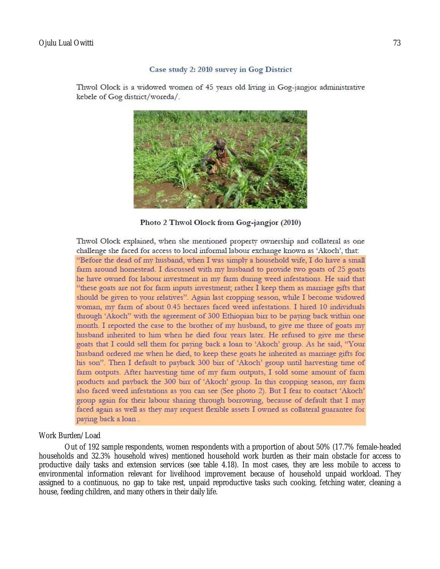#### Case study 2: 2010 survey in Gog District

Thwol Olock is a widowed women of 45 years old living in Gog-jangjor administrative kebele of Gog district/woreda/.



Photo 2 Thwol Olock from Gog-jangjor (2010)

Thwol Olock explained, when she mentioned property ownership and collateral as one challenge she faced for access to local informal labour exchange known as 'Akoch', that: "Before the dead of my husband, when I was simply a household wife, I do have a small farm around homestead. I discussed with my husband to provide two goats of 25 goats he have owned for labour investment in my farm during weed infestations. He said that "these goats are not for farm inputs investment; rather I keep them as marriage gifts that should be given to your relatives". Again last cropping season, while I become widowed woman, my farm of about 0.45 hectares faced weed infestations. I hired 10 individuals through 'Akoch'' with the agreement of 300 Ethiopian birr to be paying back within one month. I reported the case to the brother of my husband, to give me three of goats my husband inherited to him when he died four years later. He refused to give me these goats that I could sell them for paying back a loan to 'Akoch' group. As he said, "Your husband ordered me when he died, to keep these goats he inherited as marriage gifts for his son". Then I default to payback 300 birr of 'Akoch' group until harvesting time of farm outputs. After harvesting time of my farm outputs, I sold some amount of farm products and payback the 300 birr of 'Akoch' group. In this cropping season, my farm also faced weed infestations as you can see (See photo 2). But I fear to contact 'Akoch' group again for their labour sharing through borrowing, because of default that I may faced again as well as they may request flexible assets I owned as collateral guarantee for paying back a loan.

### Work Burden/Load

Out of 192 sample respondents, women respondents with a proportion of about 50% (17.7% female-headed households and 32.3% household wives) mentioned household work burden as their main obstacle for access to productive daily tasks and extension services (see table 4.18). In most cases, they are less mobile to access to environmental information relevant for livelihood improvement because of household unpaid workload. They assigned to a continuous, no gap to take rest, unpaid reproductive tasks such cooking, fetching water, cleaning a house, feeding children, and many others in their daily life.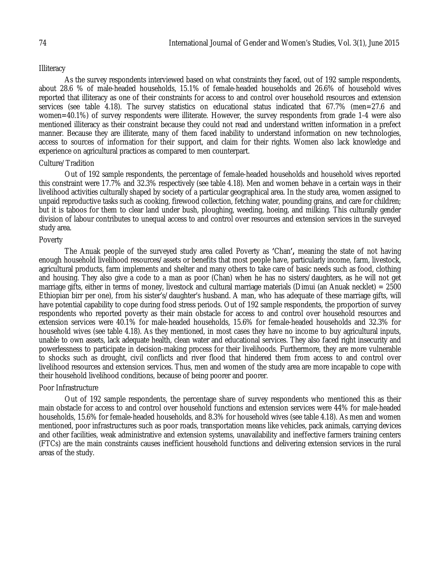# **Illiteracy**

As the survey respondents interviewed based on what constraints they faced, out of 192 sample respondents, about 28.6 % of male-headed households, 15.1% of female-headed households and 26.6% of household wives reported that illiteracy as one of their constraints for access to and control over household resources and extension services (see table 4.18). The survey statistics on educational status indicated that 67.7% (men=27.6 and women=40.1%) of survey respondents were illiterate. However, the survey respondents from grade 1-4 were also mentioned illiteracy as their constraint because they could not read and understand written information in a prefect manner. Because they are illiterate, many of them faced inability to understand information on new technologies, access to sources of information for their support, and claim for their rights. Women also lack knowledge and experience on agricultural practices as compared to men counterpart.

#### Culture/Tradition

Out of 192 sample respondents, the percentage of female-headed households and household wives reported this constraint were 17.7% and 32.3% respectively (see table 4.18). Men and women behave in a certain ways in their livelihood activities culturally shaped by society of a particular geographical area. In the study area, women assigned to unpaid reproductive tasks such as cooking, firewood collection, fetching water, pounding grains, and care for children; but it is taboos for them to clear land under bush, ploughing, weeding, hoeing, and milking. This culturally gender division of labour contributes to unequal access to and control over resources and extension services in the surveyed study area.

#### Poverty

The Anuak people of the surveyed study area called Poverty as **'**Chan**',** meaning the state of not having enough household livelihood resources/assets or benefits that most people have, particularly income, farm, livestock, agricultural products, farm implements and shelter and many others to take care of basic needs such as food, clothing and housing. They also give a code to a man as poor (Chan) when he has no sisters/daughters, as he will not get marriage gifts, either in terms of money, livestock and cultural marriage materials (Dimui (an Anuak necklet) = 2500 Ethiopian birr per one), from his sister's/daughter's husband. A man, who has adequate of these marriage gifts, will have potential capability to cope during food stress periods. Out of 192 sample respondents, the proportion of survey respondents who reported poverty as their main obstacle for access to and control over household resources and extension services were 40.1% for male-headed households, 15.6% for female-headed households and 32.3% for household wives (see table 4.18). As they mentioned, in most cases they have no income to buy agricultural inputs, unable to own assets, lack adequate health, clean water and educational services. They also faced right insecurity and powerlessness to participate in decision-making process for their livelihoods. Furthermore, they are more vulnerable to shocks such as drought, civil conflicts and river flood that hindered them from access to and control over livelihood resources and extension services. Thus, men and women of the study area are more incapable to cope with their household livelihood conditions, because of being poorer and poorer.

### Poor Infrastructure

Out of 192 sample respondents, the percentage share of survey respondents who mentioned this as their main obstacle for access to and control over household functions and extension services were 44% for male-headed households, 15.6% for female-headed households, and 8.3% for household wives (see table 4.18). As men and women mentioned, poor infrastructures such as poor roads, transportation means like vehicles, pack animals, carrying devices and other facilities, weak administrative and extension systems, unavailability and ineffective farmers training centers (FTCs) are the main constraints causes inefficient household functions and delivering extension services in the rural areas of the study.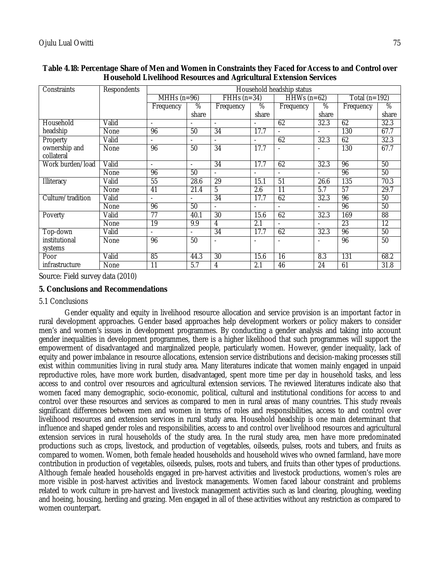| Constraints       | Respondents |                 |                          |                          |                          | Household headship status |                 |                   |                 |
|-------------------|-------------|-----------------|--------------------------|--------------------------|--------------------------|---------------------------|-----------------|-------------------|-----------------|
|                   |             |                 | MHHs $(n=96)$            |                          | $FHHs(n=34)$             | HHWs $(n=62)$             |                 | Total ( $n=192$ ) |                 |
|                   |             | Frequency       | %                        | Frequency                | %                        | Frequency                 | %               | Frequency         | $\overline{\%}$ |
|                   |             |                 | share                    |                          | share                    |                           | share           |                   | share           |
| Household         | Valid       | $\blacksquare$  |                          | $\overline{a}$           |                          | 62                        | 32.3            | 62                | 32.3            |
| headship          | <b>None</b> | 96              | 50                       | 34                       | 17.7                     |                           |                 | 130               | 67.7            |
| Property          | Valid       | $\blacksquare$  | $\overline{\phantom{a}}$ |                          | $\overline{\phantom{a}}$ | 62                        | 32.3            | 62                | 32.3            |
| ownership and     | None        | 96              | 50                       | 34                       | 17.7                     |                           |                 | 130               | 67.7            |
| collateral        |             |                 |                          |                          |                          |                           |                 |                   |                 |
| Work burden/load  | Valid       | $\blacksquare$  | ۰                        | $\overline{34}$          | 17.7                     | 62                        | 32.3            | 96                | 50              |
|                   | None        | 96              | 50                       | $\overline{a}$           |                          |                           |                 | 96                | 50              |
| Illiteracy        | Valid       | 55              | 28.6                     | 29                       | 15.1                     | 51                        | 26.6            | 135               | 70.3            |
|                   | None        | 41              | 21.4                     | 5                        | 2.6                      | 11                        | 5.7             | 57                | 29.7            |
| Culture/tradition | Valid       | $\blacksquare$  | $\overline{\phantom{a}}$ | 34                       | 17.7                     | 62                        | 32.3            | 96                | 50              |
|                   | <b>None</b> | 96              | 50                       | $\blacksquare$           | $\overline{\phantom{a}}$ | $\blacksquare$            |                 | 96                | 50              |
| Poverty           | Valid       | 77              | 40.1                     | 30                       | 15.6                     | 62                        | 32.3            | 169               | 88              |
|                   | None        | 19              | 9.9                      | 4                        | $\overline{2.1}$         | $\blacksquare$            | ٠               | 23                | 12              |
| Top-down          | Valid       | $\blacksquare$  | $\overline{\phantom{a}}$ | 34                       | 17.7                     | 62                        | 32.3            | 96                | 50              |
| institutional     | None        | 96              | 50                       | $\overline{\phantom{a}}$ |                          |                           |                 | 96                | 50              |
| systems           |             |                 |                          |                          |                          |                           |                 |                   |                 |
| Poor              | Valid       | 85              | 44.3                     | 30                       | 15.6                     | 16                        | 8.3             | 131               | 68.2            |
| infrastructure    | None        | $\overline{11}$ | 5.7                      | 4                        | $\overline{2.1}$         | 46                        | $\overline{24}$ | 61                | 31.8            |

### **Table 4.18: Percentage Share of Men and Women in Constraints they Faced for Access to and Control over Household Livelihood Resources and Agricultural Extension Services**

Source: Field survey data (2010)

# **5. Conclusions and Recommendations**

### 5.1 Conclusions

Gender equality and equity in livelihood resource allocation and service provision is an important factor in rural development approaches. Gender based approaches help development workers or policy makers to consider men's and women's issues in development programmes. By conducting a gender analysis and taking into account gender inequalities in development programmes, there is a higher likelihood that such programmes will support the empowerment of disadvantaged and marginalized people, particularly women. However, gender inequality, lack of equity and power imbalance in resource allocations, extension service distributions and decision-making processes still exist within communities living in rural study area. Many literatures indicate that women mainly engaged in unpaid reproductive roles, have more work burden, disadvantaged, spent more time per day in household tasks, and less access to and control over resources and agricultural extension services. The reviewed literatures indicate also that women faced many demographic, socio-economic, political, cultural and institutional conditions for access to and control over these resources and services as compared to men in rural areas of many countries. This study reveals significant differences between men and women in terms of roles and responsibilities, access to and control over livelihood resources and extension services in rural study area. Household headship is one main determinant that influence and shaped gender roles and responsibilities, access to and control over livelihood resources and agricultural extension services in rural households of the study area. In the rural study area, men have more predominated productions such as crops, livestock, and production of vegetables, oilseeds, pulses, roots and tubers, and fruits as compared to women. Women, both female headed households and household wives who owned farmland, have more contribution in production of vegetables, oilseeds, pulses, roots and tubers, and fruits than other types of productions. Although female headed households engaged in pre-harvest activities and livestock productions, women's roles are more visible in post-harvest activities and livestock managements. Women faced labour constraint and problems related to work culture in pre-harvest and livestock management activities such as land clearing, ploughing, weeding and hoeing, housing, herding and grazing. Men engaged in all of these activities without any restriction as compared to women counterpart.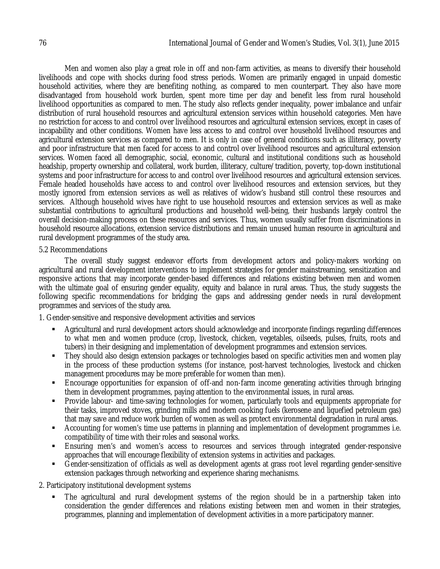Men and women also play a great role in off and non-farm activities, as means to diversify their household livelihoods and cope with shocks during food stress periods. Women are primarily engaged in unpaid domestic household activities, where they are benefiting nothing, as compared to men counterpart. They also have more disadvantaged from household work burden, spent more time per day and benefit less from rural household livelihood opportunities as compared to men. The study also reflects gender inequality, power imbalance and unfair distribution of rural household resources and agricultural extension services within household categories. Men have no restriction for access to and control over livelihood resources and agricultural extension services, except in cases of incapability and other conditions. Women have less access to and control over household livelihood resources and agricultural extension services as compared to men. It is only in case of general conditions such as illiteracy, poverty and poor infrastructure that men faced for access to and control over livelihood resources and agricultural extension services. Women faced all demographic, social, economic, cultural and institutional conditions such as household headship, property ownership and collateral, work burden, illiteracy, culture/tradition, poverty, top-down institutional systems and poor infrastructure for access to and control over livelihood resources and agricultural extension services. Female headed households have access to and control over livelihood resources and extension services, but they mostly ignored from extension services as well as relatives of widow's husband still control these resources and services. Although household wives have right to use household resources and extension services as well as make substantial contributions to agricultural productions and household well-being, their husbands largely control the overall decision-making process on these resources and services. Thus, women usually suffer from discriminations in household resource allocations, extension service distributions and remain unused human resource in agricultural and rural development programmes of the study area.

### 5.2 Recommendations

The overall study suggest endeavor efforts from development actors and policy-makers working on agricultural and rural development interventions to implement strategies for gender mainstreaming, sensitization and responsive actions that may incorporate gender-based differences and relations existing between men and women with the ultimate goal of ensuring gender equality, equity and balance in rural areas. Thus, the study suggests the following specific recommendations for bridging the gaps and addressing gender needs in rural development programmes and services of the study area.

1. Gender-sensitive and responsive development activities and services

- Agricultural and rural development actors should acknowledge and incorporate findings regarding differences to what men and women produce (crop, livestock, chicken, vegetables, oilseeds, pulses, fruits, roots and tubers) in their designing and implementation of development programmes and extension services.
- They should also design extension packages or technologies based on specific activities men and women play in the process of these production systems (for instance, post-harvest technologies, livestock and chicken management procedures may be more preferable for women than men).
- Encourage opportunities for expansion of off-and non-farm income generating activities through bringing them in development programmes, paying attention to the environmental issues, in rural areas.
- Provide labour- and time-saving technologies for women, particularly tools and equipments appropriate for their tasks, improved stoves, grinding mills and modern cooking fuels (kerosene and liquefied petroleum gas) that may save and reduce work burden of women as well as protect environmental degradation in rural areas.
- Accounting for women's time use patterns in planning and implementation of development programmes i.e. compatibility of time with their roles and seasonal works.
- Ensuring men's and women's access to resources and services through integrated gender-responsive approaches that will encourage flexibility of extension systems in activities and packages.
- Gender-sensitization of officials as well as development agents at grass root level regarding gender-sensitive extension packages through networking and experience sharing mechanisms.

2. Participatory institutional development systems

 The agricultural and rural development systems of the region should be in a partnership taken into consideration the gender differences and relations existing between men and women in their strategies, programmes, planning and implementation of development activities in a more participatory manner.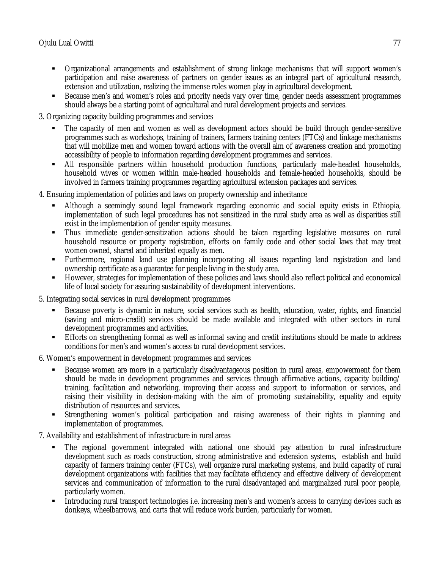- Organizational arrangements and establishment of strong linkage mechanisms that will support women's participation and raise awareness of partners on gender issues as an integral part of agricultural research, extension and utilization, realizing the immense roles women play in agricultural development.
- Because men's and women's roles and priority needs vary over time, gender needs assessment programmes should always be a starting point of agricultural and rural development projects and services.
- 3. Organizing capacity building programmes and services
	- The capacity of men and women as well as development actors should be build through gender-sensitive programmes such as workshops, training of trainers, farmers training centers (FTCs) and linkage mechanisms that will mobilize men and women toward actions with the overall aim of awareness creation and promoting accessibility of people to information regarding development programmes and services.
	- All responsible partners within household production functions, particularly male-headed households, household wives or women within male-headed households and female-headed households, should be involved in farmers training programmes regarding agricultural extension packages and services.
- 4. Ensuring implementation of policies and laws on property ownership and inheritance
	- Although a seemingly sound legal framework regarding economic and social equity exists in Ethiopia, implementation of such legal procedures has not sensitized in the rural study area as well as disparities still exist in the implementation of gender equity measures.
	- Thus immediate gender-sensitization actions should be taken regarding legislative measures on rural household resource or property registration, efforts on family code and other social laws that may treat women owned, shared and inherited equally as men.
	- Furthermore, regional land use planning incorporating all issues regarding land registration and land ownership certificate as a guarantee for people living in the study area.
	- However, strategies for implementation of these policies and laws should also reflect political and economical life of local society for assuring sustainability of development interventions.
- 5. Integrating social services in rural development programmes
	- Because poverty is dynamic in nature, social services such as health, education, water, rights, and financial (saving and micro-credit) services should be made available and integrated with other sectors in rural development programmes and activities.
	- Efforts on strengthening formal as well as informal saving and credit institutions should be made to address conditions for men's and women's access to rural development services.
- 6. Women's empowerment in development programmes and services
	- Because women are more in a particularly disadvantageous position in rural areas, empowerment for them should be made in development programmes and services through affirmative actions, capacity building/ training, facilitation and networking, improving their access and support to information or services, and raising their visibility in decision-making with the aim of promoting sustainability, equality and equity distribution of resources and services.
	- Strengthening women's political participation and raising awareness of their rights in planning and implementation of programmes.
- 7. Availability and establishment of infrastructure in rural areas
	- The regional government integrated with national one should pay attention to rural infrastructure development such as roads construction, strong administrative and extension systems, establish and build capacity of farmers training center (FTCs), well organize rural marketing systems, and build capacity of rural development organizations with facilities that may facilitate efficiency and effective delivery of development services and communication of information to the rural disadvantaged and marginalized rural poor people, particularly women.
	- Introducing rural transport technologies i.e. increasing men's and women's access to carrying devices such as donkeys, wheelbarrows, and carts that will reduce work burden, particularly for women.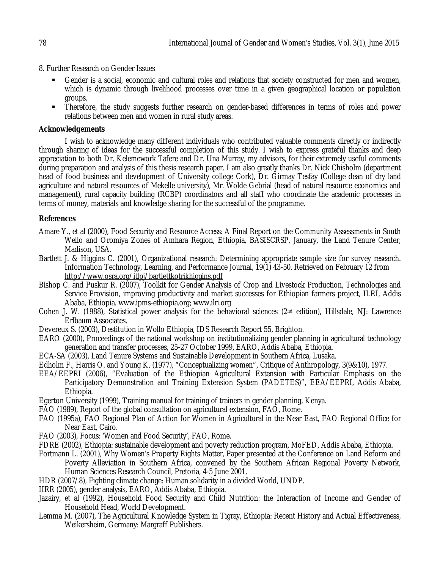8. Further Research on Gender Issues

- Gender is a social, economic and cultural roles and relations that society constructed for men and women, which is dynamic through livelihood processes over time in a given geographical location or population groups.
- Therefore, the study suggests further research on gender-based differences in terms of roles and power relations between men and women in rural study areas.

### **Acknowledgements**

I wish to acknowledge many different individuals who contributed valuable comments directly or indirectly through sharing of ideas for the successful completion of this study. I wish to express grateful thanks and deep appreciation to both Dr. Kelemework Tafere and Dr. Una Murray, my advisors, for their extremely useful comments during preparation and analysis of this thesis research paper. I am also greatly thanks Dr. Nick Chisholm (department head of food business and development of University college Cork), Dr. Girmay Tesfay (College dean of dry land agriculture and natural resources of Mekelle university), Mr. Wolde Gebrial (head of natural resource economics and management), rural capacity building (RCBP) coordinators and all staff who coordinate the academic processes in terms of money, materials and knowledge sharing for the successful of the programme.

# **References**

- Amare Y., et al (2000), Food Security and Resource Access: A Final Report on the Community Assessments in South Wello and Oromiya Zones of Amhara Region, Ethiopia, BASISCRSP, January, the Land Tenure Center, Madison, USA.
- Bartlett J. & Higgins C. (2001), Organizational research: Determining appropriate sample size for survey research. Information Technology, Learning, and Performance Journal, 19(1) 43-50. Retrieved on February 12 from http://www.osra.org/itlpj/bartlettkotrikhiggins.pdf
- Bishop C. and Puskur R. (2007), Toolkit for Gender Analysis of Crop and Livestock Production, Technologies and Service Provision, improving productivity and market successes for Ethiopian farmers project, ILRI, Addis Ababa, Ethiopia. www.ipms-ethiopia.org; www.ilri.org
- Cohen J. W. (1988), Statistical power analysis for the behavioral sciences (2nd edition), Hillsdale, NJ: Lawrence Erlbaum Associates.
- Devereux S. (2003), Destitution in Wollo Ethiopia, IDS Research Report 55, Brighton.
- EARO (2000), Proceedings of the national workshop on institutionalizing gender planning in agricultural technology generation and transfer processes, 25-27 October 1999, EARO, Addis Ababa, Ethiopia.
- ECA-SA (2003), Land Tenure Systems and Sustainable Development in Southern Africa, Lusaka.
- Edholm F., Harris O. and Young K. (1977), "Conceptualizing women", Critique of Anthropology, 3(9&10), 1977.
- EEA/EEPRI (2006), "Evaluation of the Ethiopian Agricultural Extension with Particular Emphasis on the Participatory Demonstration and Training Extension System (PADETES)", EEA/EEPRI, Addis Ababa, Ethiopia.
- Egerton University (1999), Training manual for training of trainers in gender planning, Kenya.
- FAO (1989), Report of the global consultation on agricultural extension, FAO, Rome.
- FAO (1995a), FAO Regional Plan of Action for Women in Agricultural in the Near East, FAO Regional Office for Near East, Cairo.
- FAO (2003), Focus: 'Women and Food Security', FAO, Rome.
- FDRE (2002), Ethiopia: sustainable development and poverty reduction program, MoFED, Addis Ababa, Ethiopia.
- Fortmann L. (2001), Why Women's Property Rights Matter, Paper presented at the Conference on Land Reform and Poverty Alleviation in Southern Africa, convened by the Southern African Regional Poverty Network, Human Sciences Research Council, Pretoria, 4-5 June 2001.
- HDR (2007/8), Fighting climate change: Human solidarity in a divided World, UNDP.
- IIRR (2005), gender analysis, EARO, Addis Ababa, Ethiopia.
- Jazairy, et al (1992), Household Food Security and Child Nutrition: the Interaction of Income and Gender of Household Head, World Development.
- Lemma M. (2007), The Agricultural Knowledge System in Tigray, Ethiopia: Recent History and Actual Effectiveness, Weikersheim, Germany: Margraff Publishers.